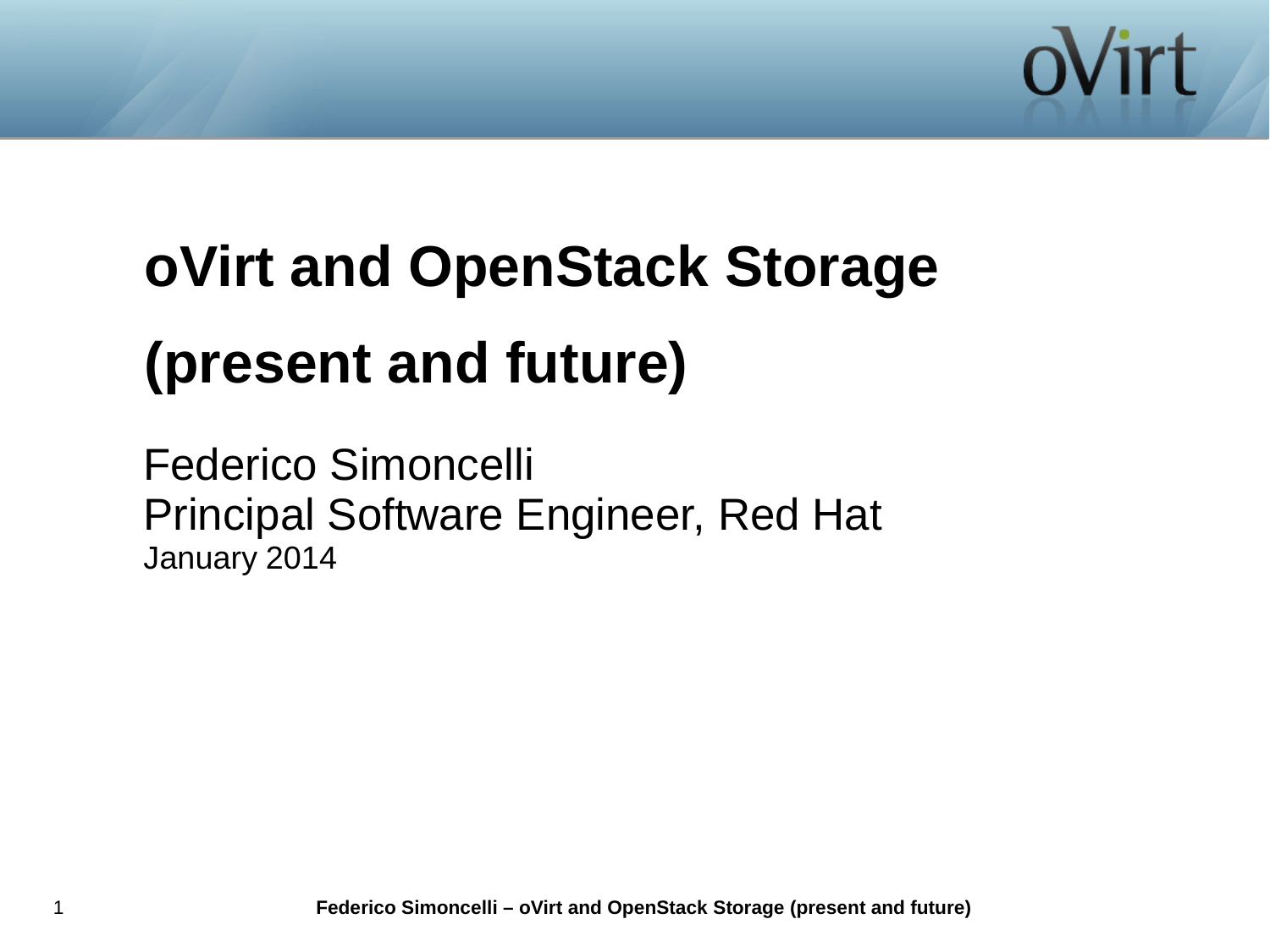

# **oVirt and OpenStack Storage (present and future)**

Federico Simoncelli Principal Software Engineer, Red Hat January 2014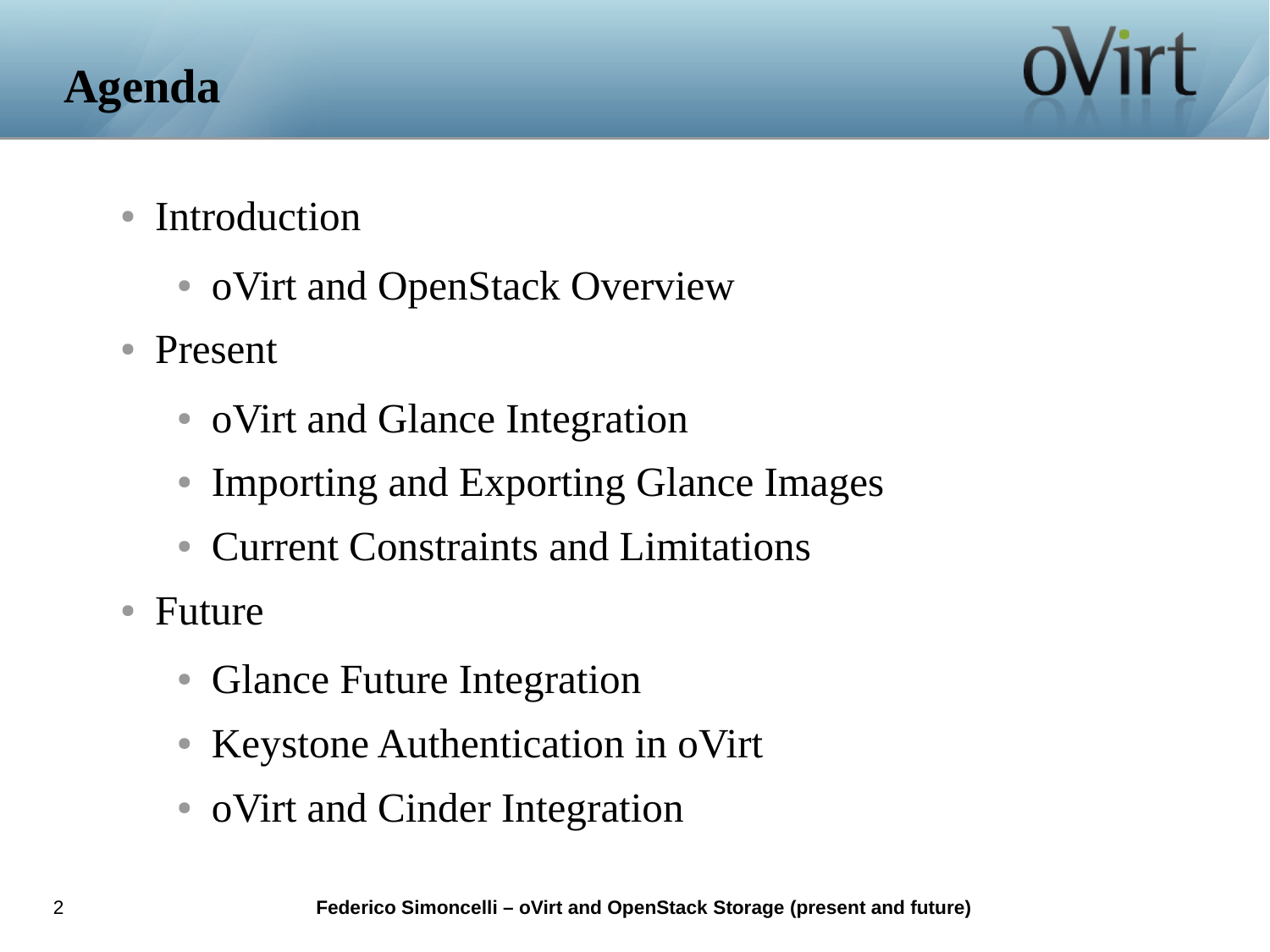# **Agenda**



- Introduction
	- oVirt and OpenStack Overview
- Present
	- oVirt and Glance Integration
	- Importing and Exporting Glance Images
	- Current Constraints and Limitations
- Future
	- Glance Future Integration
	- Keystone Authentication in oVirt
	- oVirt and Cinder Integration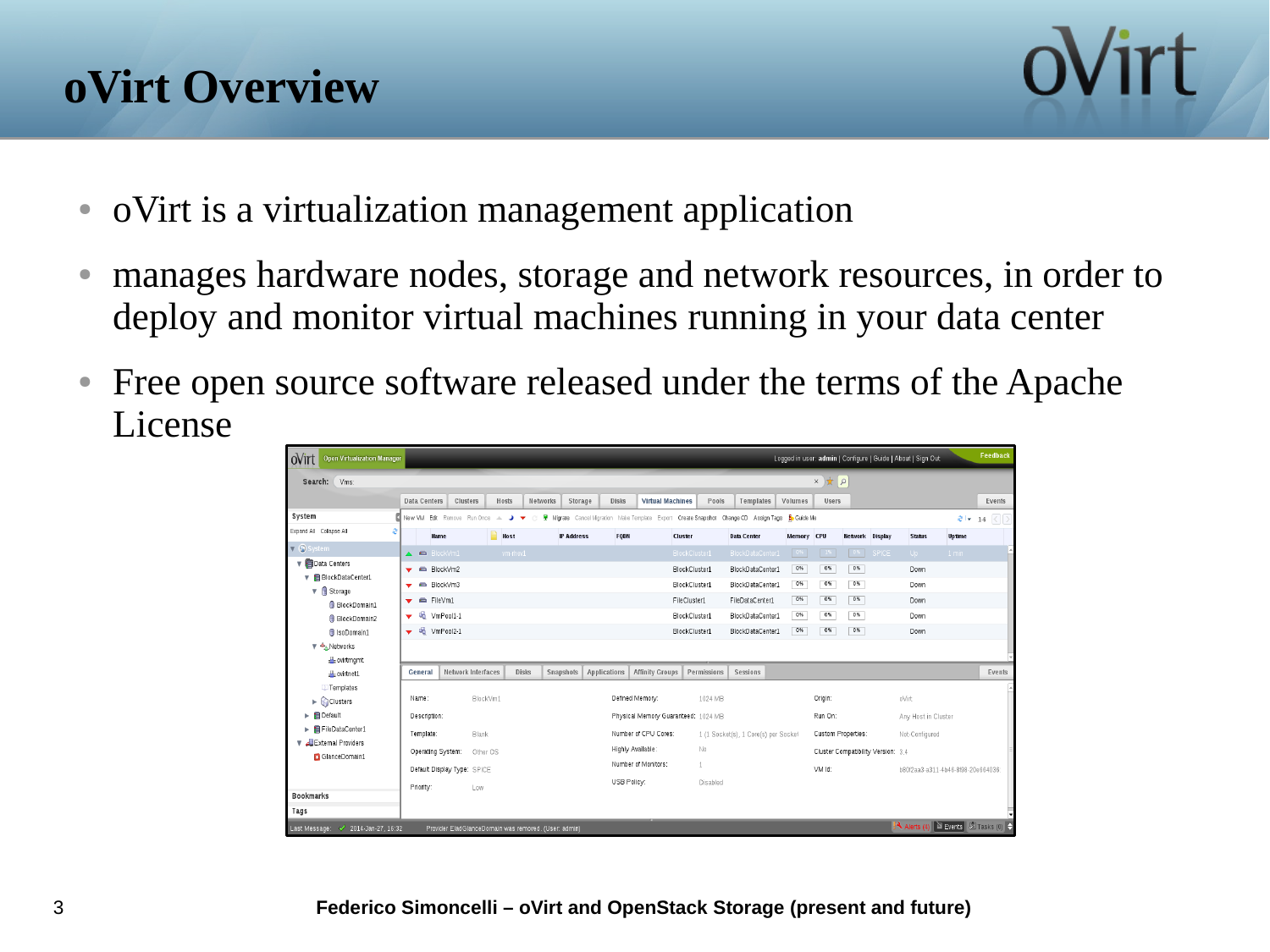# **oVirt Overview**



- oVirt is a virtualization management application
- manages hardware nodes, storage and network resources, in order to deploy and monitor virtual machines running in your data center
- Free open source software released under the terms of the Apache License

| <b>Open Virtualization Manager</b><br>ovirt                 |                                               |                             |                                                                |                                                      |                         |                                                                                                                  |             |                                      |            |                    |                        |                                    | Logged in user: admin   Configure   Guide   About   Sign Out |               | Feedback |
|-------------------------------------------------------------|-----------------------------------------------|-----------------------------|----------------------------------------------------------------|------------------------------------------------------|-------------------------|------------------------------------------------------------------------------------------------------------------|-------------|--------------------------------------|------------|--------------------|------------------------|------------------------------------|--------------------------------------------------------------|---------------|----------|
| $\alpha$ $\star$ $\alpha$<br>Vms:<br>Search:                |                                               |                             |                                                                |                                                      |                         |                                                                                                                  |             |                                      |            |                    |                        |                                    |                                                              |               |          |
|                                                             | <b>Data Centers</b>                           | Clusters                    | Hosts                                                          | Networks                                             | Storage<br><b>Disks</b> | <b>Virtual Machines</b>                                                                                          | Pools       | Templates                            | Volumes    | <b>Users</b>       |                        |                                    |                                                              |               | Events   |
| System                                                      |                                               |                             | New VM Edit Remove Run Once $\triangleq$ $\blacktriangleright$ | - C                                                  |                         | <b>H</b> Migrate Cancel Migration Make Template Export Create Snapshot Change CD Assign Tags <b>B</b> , Guide Me |             |                                      |            |                    |                        |                                    |                                                              |               | $2 + 16$ |
| Expand All Collapse All<br>a                                | <b>Name</b>                                   |                             | <b>Host</b>                                                    | <b>IP Address</b>                                    | FODN                    | <b>Cluster</b>                                                                                                   |             | <b>Data Center</b>                   | Memory CPU |                    | <b>Hetwork</b> Display |                                    | <b>Status</b>                                                | <b>Uptime</b> |          |
| $\nabla$ System                                             | $\triangle$ $\triangle$                       | BlockVm1                    | vm-rhev1                                                       |                                                      |                         | BlockCluster1                                                                                                    |             | BlockDataCenter1                     |            | $\frac{1}{2}$      |                        | <b>SPICE</b>                       | Up -                                                         | $1$ min       |          |
| Data Centers                                                | $\blacktriangleright$ $\blacksquare$ BlockVm2 |                             |                                                                |                                                      |                         | BlockCluster1                                                                                                    |             | BlockDataCenter1                     | 0%         | 0%                 | 0%                     |                                    | Down                                                         |               |          |
| ▼ 日 BlockDataCenter1<br>$\nabla$ <b>g</b> Storage           | $\epsilon$<br>▼                               | BlockVm3                    |                                                                |                                                      |                         | BlockCluster1                                                                                                    |             | BlockDataCenter1                     | 0%         | 0%                 | 0%                     |                                    | Down                                                         |               |          |
| <b>BlockDomain1</b>                                         | $\equiv$<br>▼                                 | FileVm1                     |                                                                |                                                      |                         | FileCluster1                                                                                                     |             | FileDataCenter1                      | $0\%$      | 0%                 | 0%                     |                                    | Down                                                         |               |          |
| <b>BlockDomain2</b>                                         | 喝<br>▼                                        | VmPool1-1                   |                                                                |                                                      |                         | BlockCluster1                                                                                                    |             | BlockDataCenter1                     | $0\%$      | 0%                 | $0\%$                  |                                    | Down                                                         |               |          |
| <b>B</b> IsoDomain1                                         | M VmPool2-1<br>$\overline{\mathbf{v}}$        |                             |                                                                |                                                      |                         | BlockCluster1                                                                                                    |             | BlockDataCenter1                     | 0%         | 0%                 | $0\%$                  |                                    | Down                                                         |               |          |
| ▼<br>Networks                                               |                                               |                             |                                                                |                                                      |                         |                                                                                                                  |             |                                      |            |                    |                        |                                    |                                                              |               |          |
| ovirtmgmt                                                   |                                               |                             |                                                                |                                                      |                         |                                                                                                                  |             |                                      |            |                    |                        |                                    |                                                              |               |          |
| A ovirtnet1                                                 | General                                       | <b>Network Interfaces</b>   | <b>Disks</b>                                                   | Snapshots                                            | Applications            | <b>Affinity Groups</b>                                                                                           | Permissions | Sessions                             |            |                    |                        |                                    |                                                              |               | Events   |
| <b>Templates</b>                                            | Name:                                         |                             | BlockVm1                                                       |                                                      |                         | Defined Memory:                                                                                                  | 1024 MB     |                                      |            | Origin:            |                        |                                    | oVirt                                                        |               |          |
| $\blacktriangleright$ $\bigcirc$ Clusters<br><b>Default</b> | Description:                                  |                             |                                                                |                                                      |                         | Physical Memory Guaranteed: 1024 MB                                                                              |             |                                      |            | Run On:            |                        |                                    | Any Host in Cluster                                          |               |          |
| FileDataCenter1                                             |                                               |                             |                                                                |                                                      |                         |                                                                                                                  |             |                                      |            |                    |                        |                                    |                                                              |               |          |
| External Providers                                          | Template:                                     | Blank                       |                                                                |                                                      |                         | Number of CPU Cores:                                                                                             |             | 1 (1 Socket(s), 1 Core(s) per Socket |            | Custom Properties: |                        |                                    | Not-Configured                                               |               |          |
| GlanceDomain1                                               | Operating System:                             |                             | Other OS                                                       |                                                      |                         | Highly Available:                                                                                                | No          |                                      |            |                    |                        | Cluster Compatibility Version: 3.4 |                                                              |               |          |
|                                                             |                                               | Default Display Type: SPICE |                                                                |                                                      |                         | Number of Monitors:                                                                                              | $1\,$       |                                      |            | VM Id:             |                        |                                    | b80f2aa3-a311-4b46-8f98-20e664036                            |               |          |
|                                                             | Priority:                                     | Low                         |                                                                |                                                      | USB Policy:             |                                                                                                                  | Disabled    |                                      |            |                    |                        |                                    |                                                              |               |          |
| <b>Bookmarks</b>                                            |                                               |                             |                                                                |                                                      |                         |                                                                                                                  |             |                                      |            |                    |                        |                                    |                                                              |               |          |
| Tags                                                        |                                               |                             |                                                                |                                                      |                         |                                                                                                                  |             |                                      |            |                    |                        |                                    |                                                              |               |          |
| Last Message: 2014-Jan-27, 16:32                            |                                               |                             |                                                                | Provider EladGlanceDomain was removed. (User: admin) |                         |                                                                                                                  |             |                                      |            |                    |                        |                                    | Alerts (4) Events 2 Tasks (0) $\div$                         |               |          |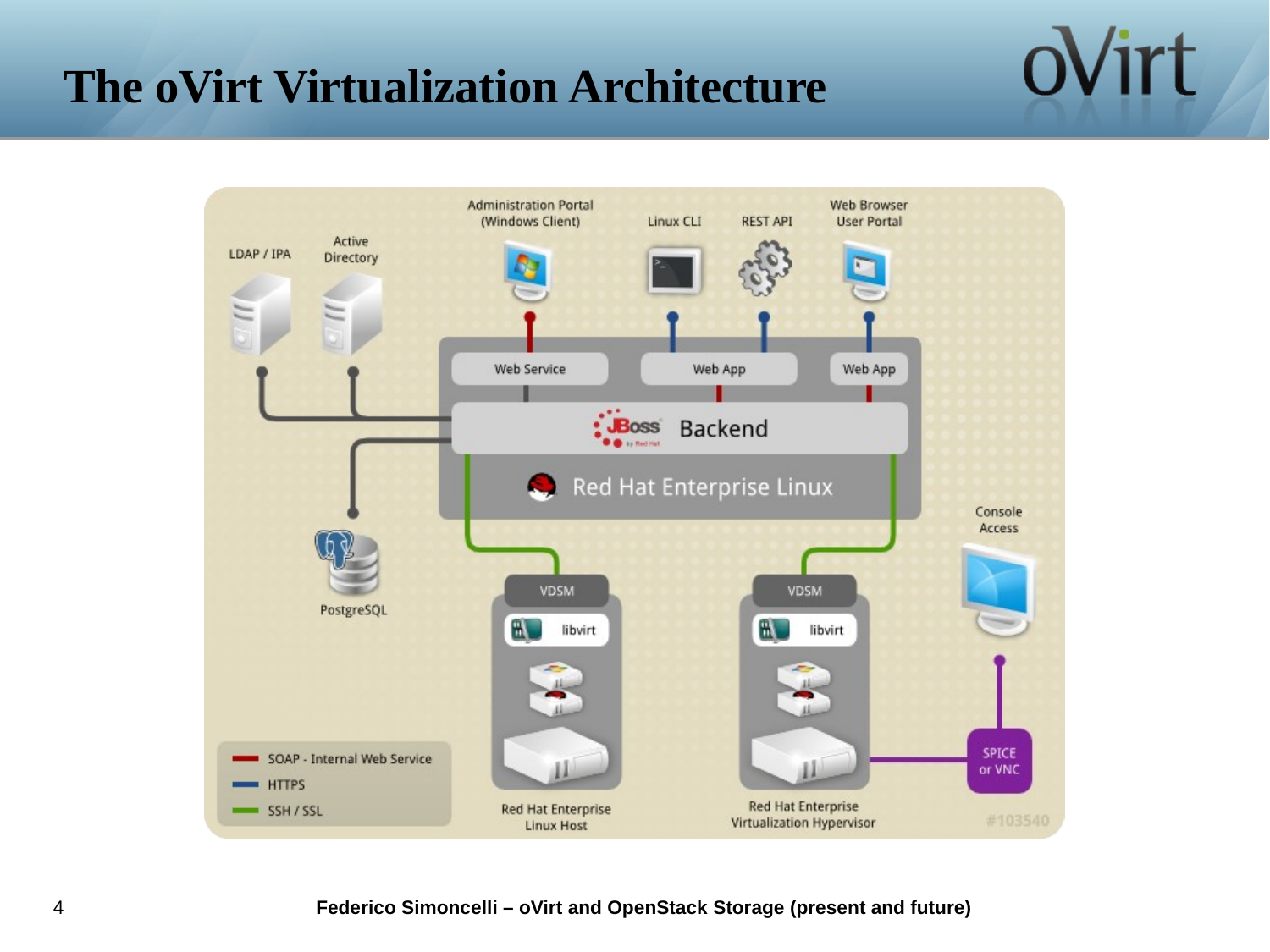# **The oVirt Virtualization Architecture**

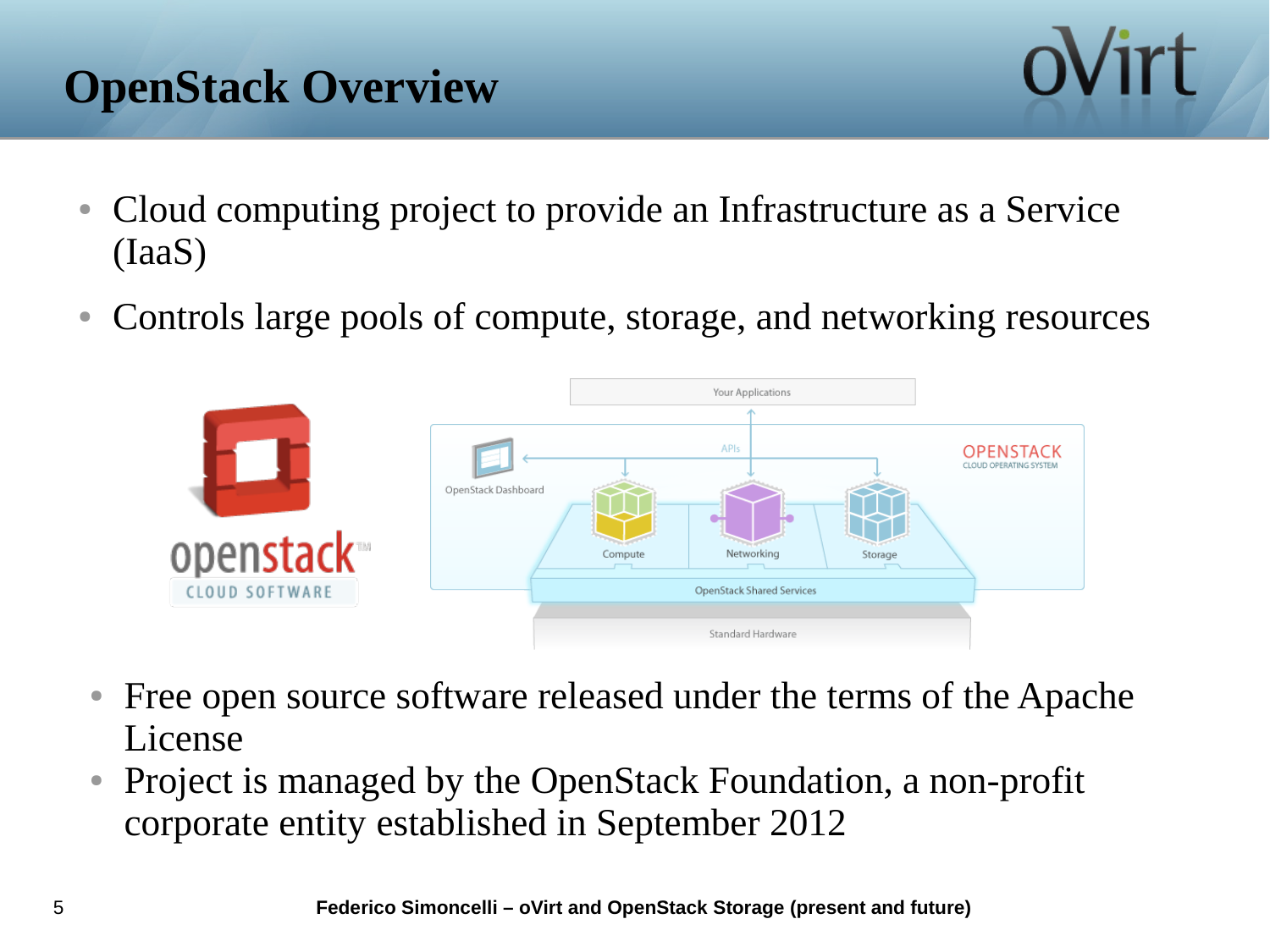# **OpenStack Overview**

- Cloud computing project to provide an Infrastructure as a Service (IaaS)
- Controls large pools of compute, storage, and networking resources



- Free open source software released under the terms of the Apache License
- Project is managed by the OpenStack Foundation, a non-profit corporate entity established in September 2012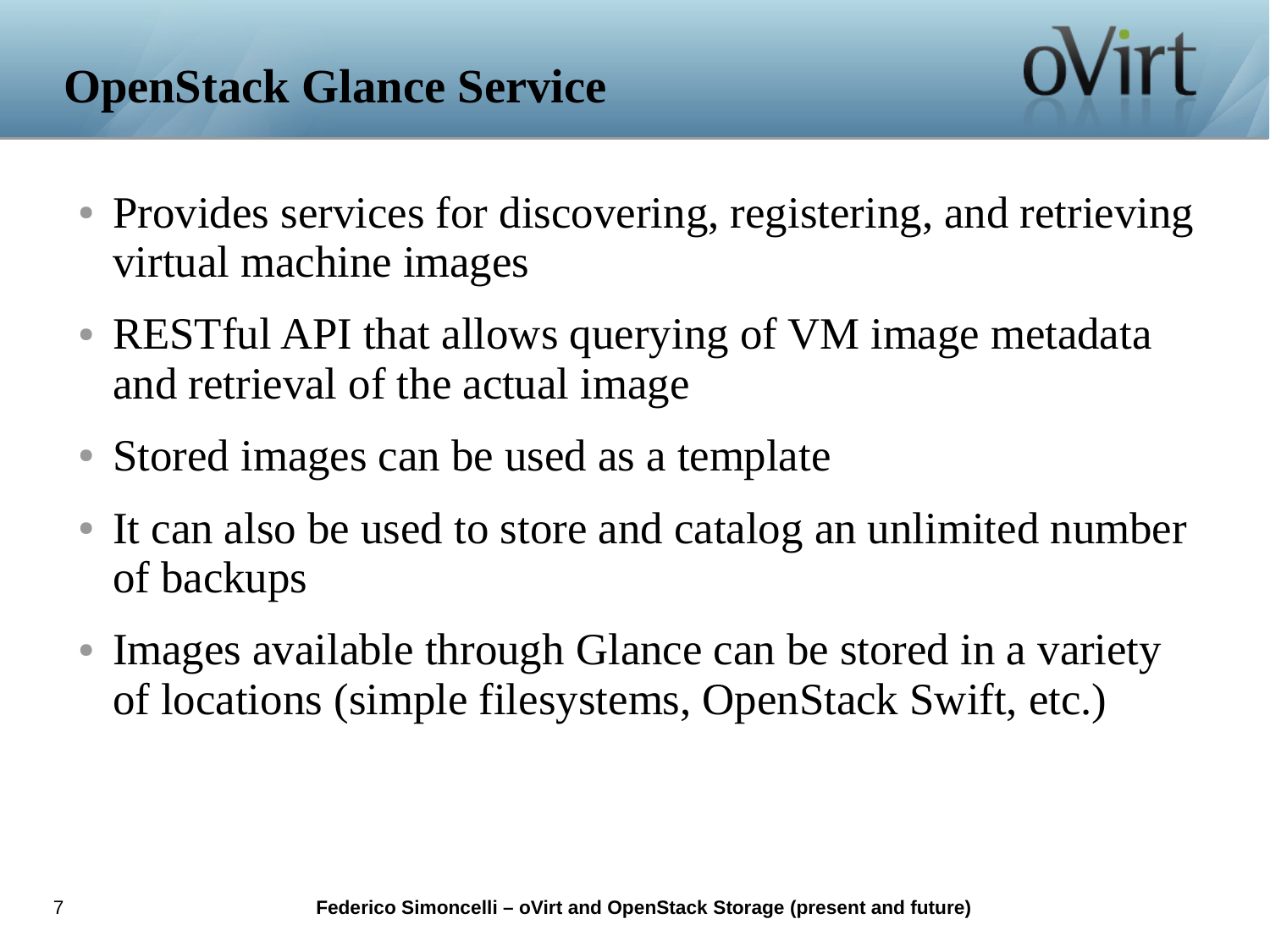- Provides services for discovering, registering, and retrieving virtual machine images
- RESTful API that allows querying of VM image metadata and retrieval of the actual image
- Stored images can be used as a template
- It can also be used to store and catalog an unlimited number of backups
- Images available through Glance can be stored in a variety of locations (simple filesystems, OpenStack Swift, etc.)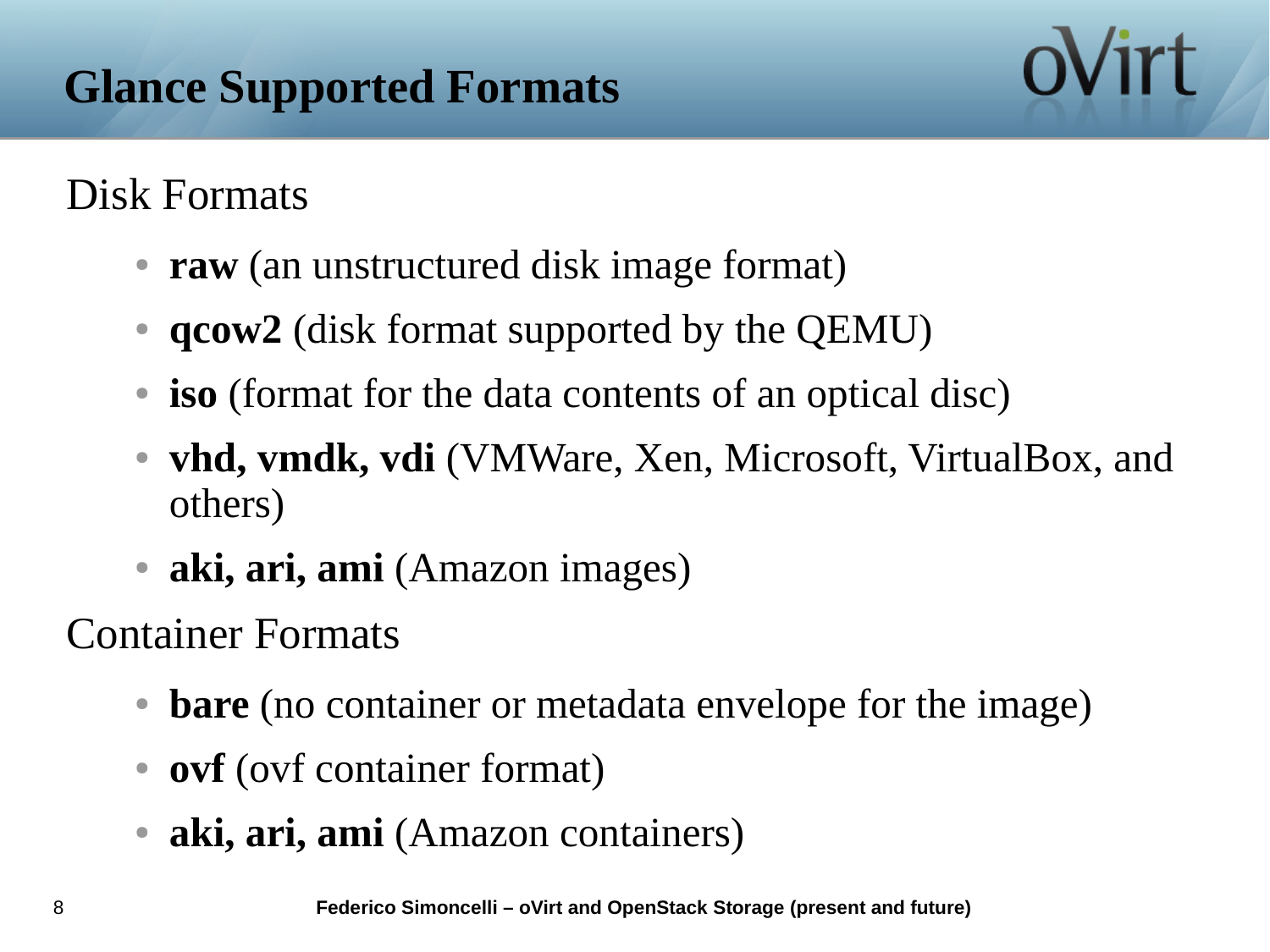#### Disk Formats

- **raw** (an unstructured disk image format)
- **qcow2** (disk format supported by the QEMU)
- **iso** (format for the data contents of an optical disc)
- **vhd, vmdk, vdi** (VMWare, Xen, Microsoft, VirtualBox, and others)
- **aki, ari, ami** (Amazon images)

Container Formats

- **bare** (no container or metadata envelope for the image)
- **ovf** (ovf container format)
- aki, ari, ami (Amazon containers)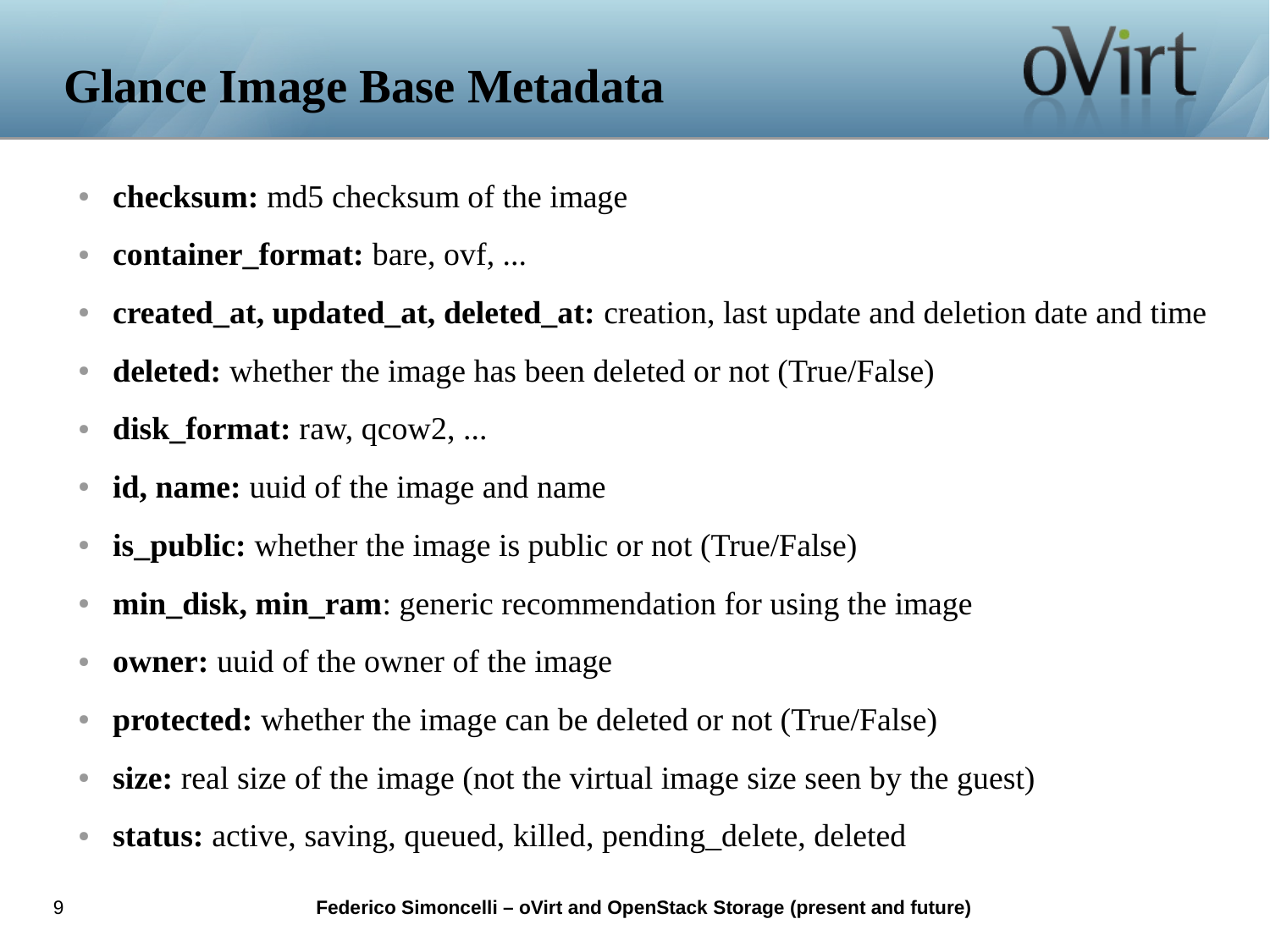# **Glance Image Base Metadata**

- **checksum:** md5 checksum of the image
- **container\_format:** bare, ovf, ...
- **created\_at, updated\_at, deleted\_at:** creation, last update and deletion date and time
- **deleted:** whether the image has been deleted or not (True/False)
- **disk\_format:** raw, qcow2, ...
- **id, name:** uuid of the image and name
- **is\_public:** whether the image is public or not (True/False)
- **min\_disk, min\_ram**: generic recommendation for using the image
- **owner:** uuid of the owner of the image
- **protected:** whether the image can be deleted or not (True/False)
- **size:** real size of the image (not the virtual image size seen by the guest)
- **status:** active, saving, queued, killed, pending\_delete, deleted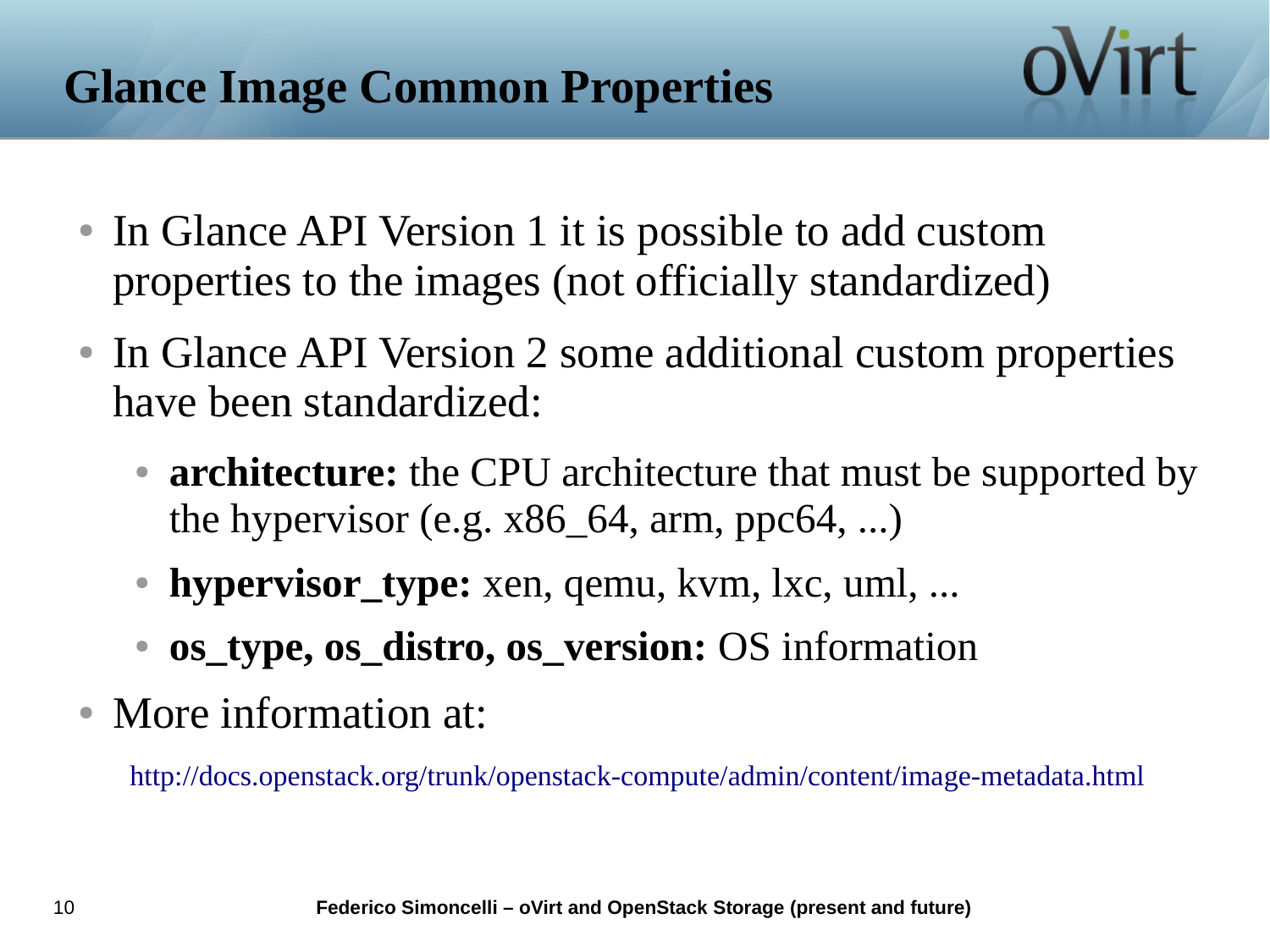- In Glance API Version 1 it is possible to add custom properties to the images (not officially standardized)
- In Glance API Version 2 some additional custom properties have been standardized:
	- **architecture:** the CPU architecture that must be supported by the hypervisor (e.g.  $x86\_64$ , arm, ppc $64$ , ...)
	- **hypervisor\_type:** xen, qemu, kvm, lxc, uml, ...
	- **os\_type, os\_distro, os\_version:** OS information
- More information at:

http://docs.openstack.org/trunk/openstack-compute/admin/content/image-metadata.html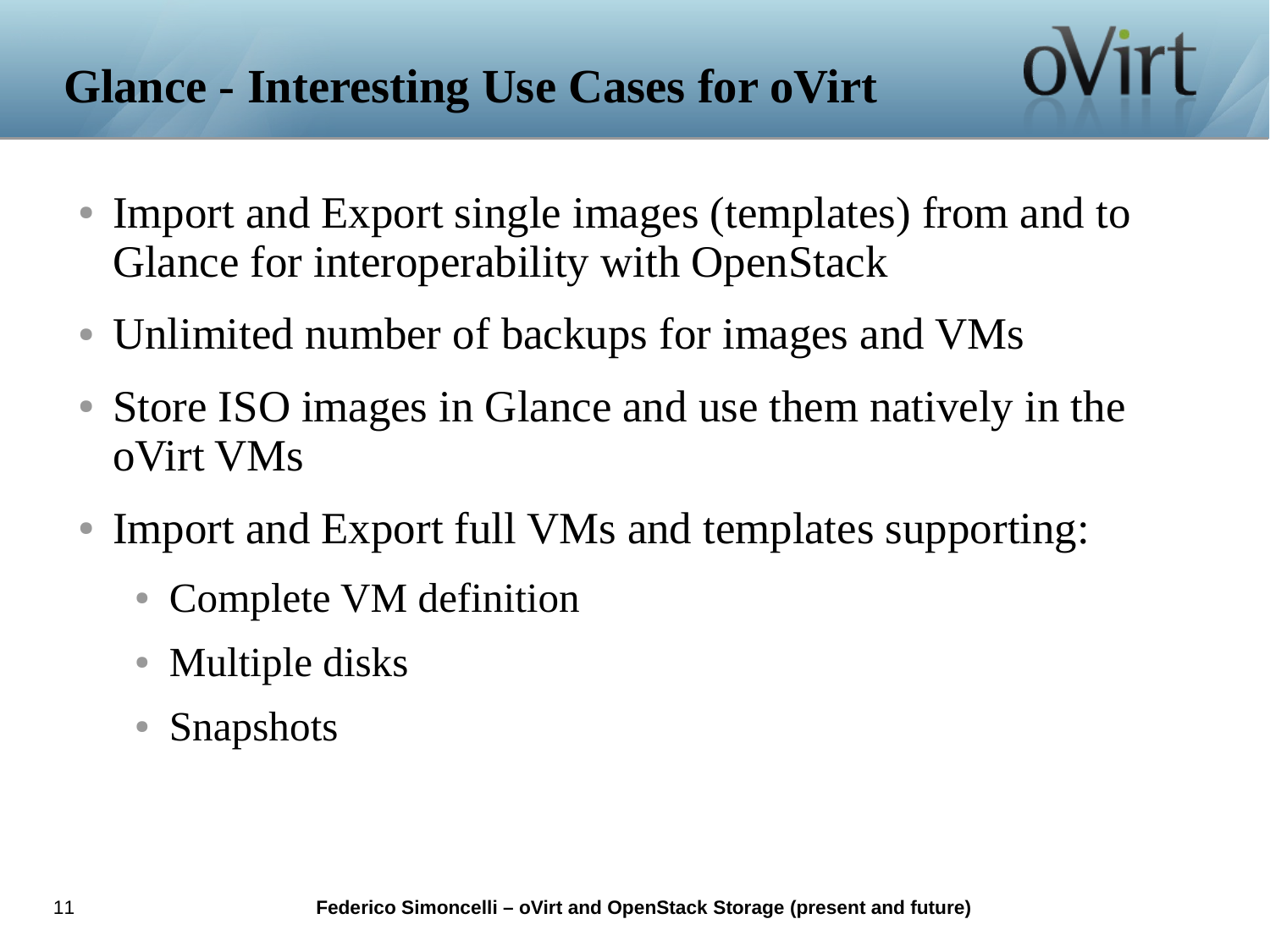# **Glance - Interesting Use Cases for oVirt**

• Import and Export single images (templates) from and to Glance for interoperability with OpenStack

- Unlimited number of backups for images and VMs
- Store ISO images in Glance and use them natively in the oVirt VMs
- Import and Export full VMs and templates supporting:
	- Complete VM definition
	- Multiple disks
	- **Snapshots**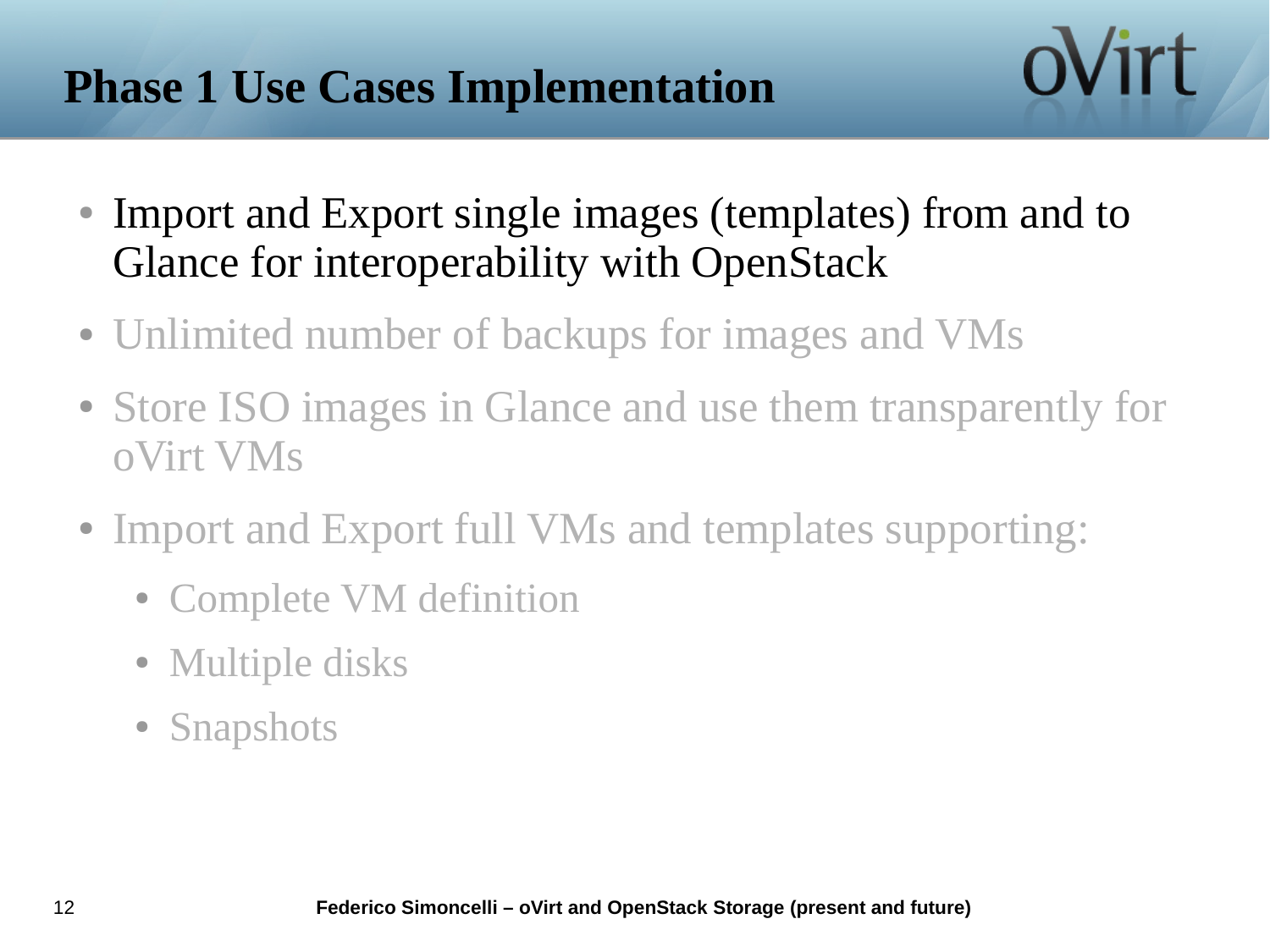# **Phase 1 Use Cases Implementation**

• Import and Export single images (templates) from and to Glance for interoperability with OpenStack

- Unlimited number of backups for images and VMs
- Store ISO images in Glance and use them transparently for oVirt VMs
- Import and Export full VMs and templates supporting:
	- Complete VM definition
	- Multiple disks
	- Snapshots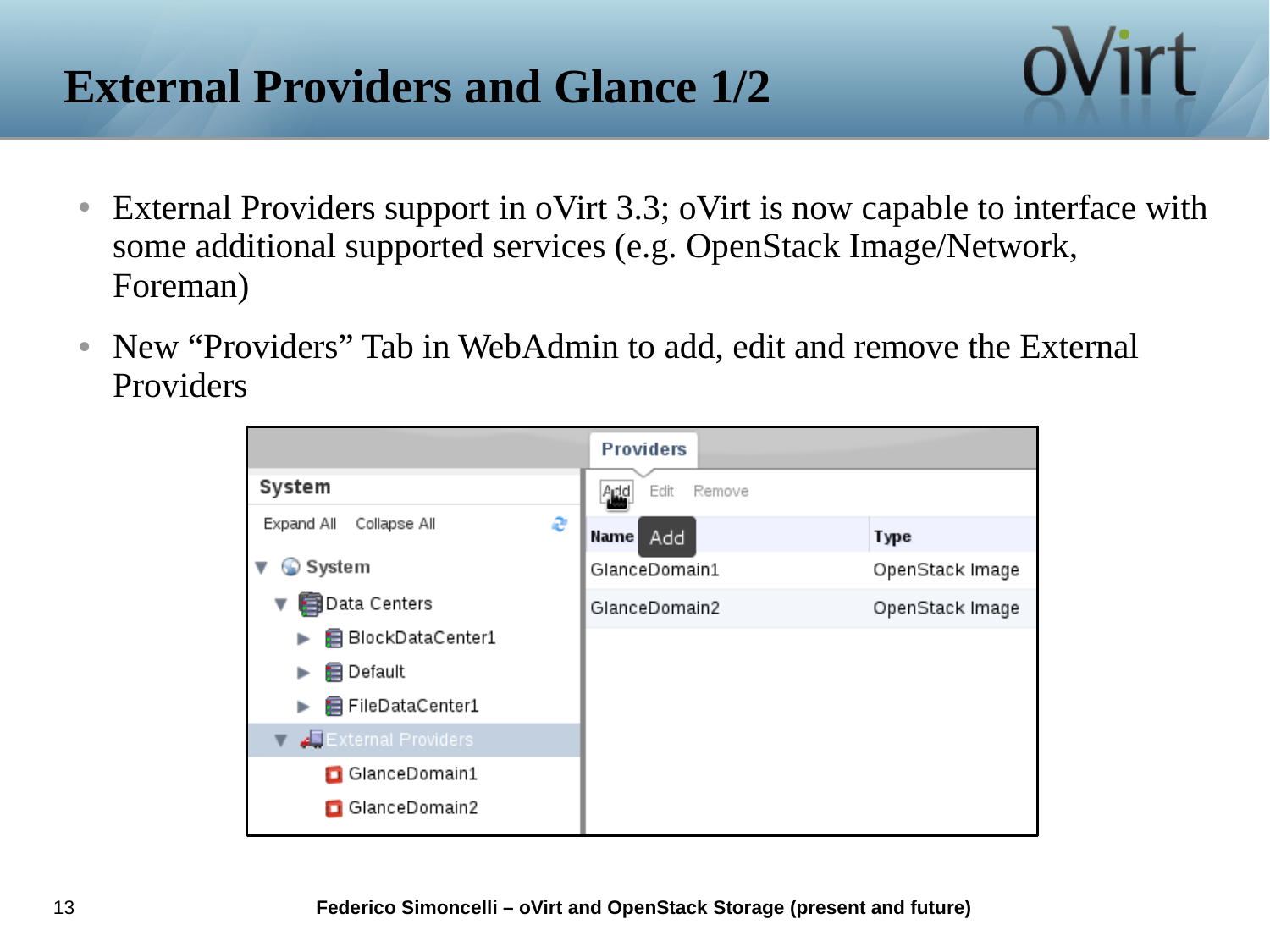# **External Providers and Glance 1/2**

● External Providers support in oVirt 3.3; oVirt is now capable to interface with some additional supported services (e.g. OpenStack Image/Network, Foreman)

ovirt

• New "Providers" Tab in WebAdmin to add, edit and remove the External Providers

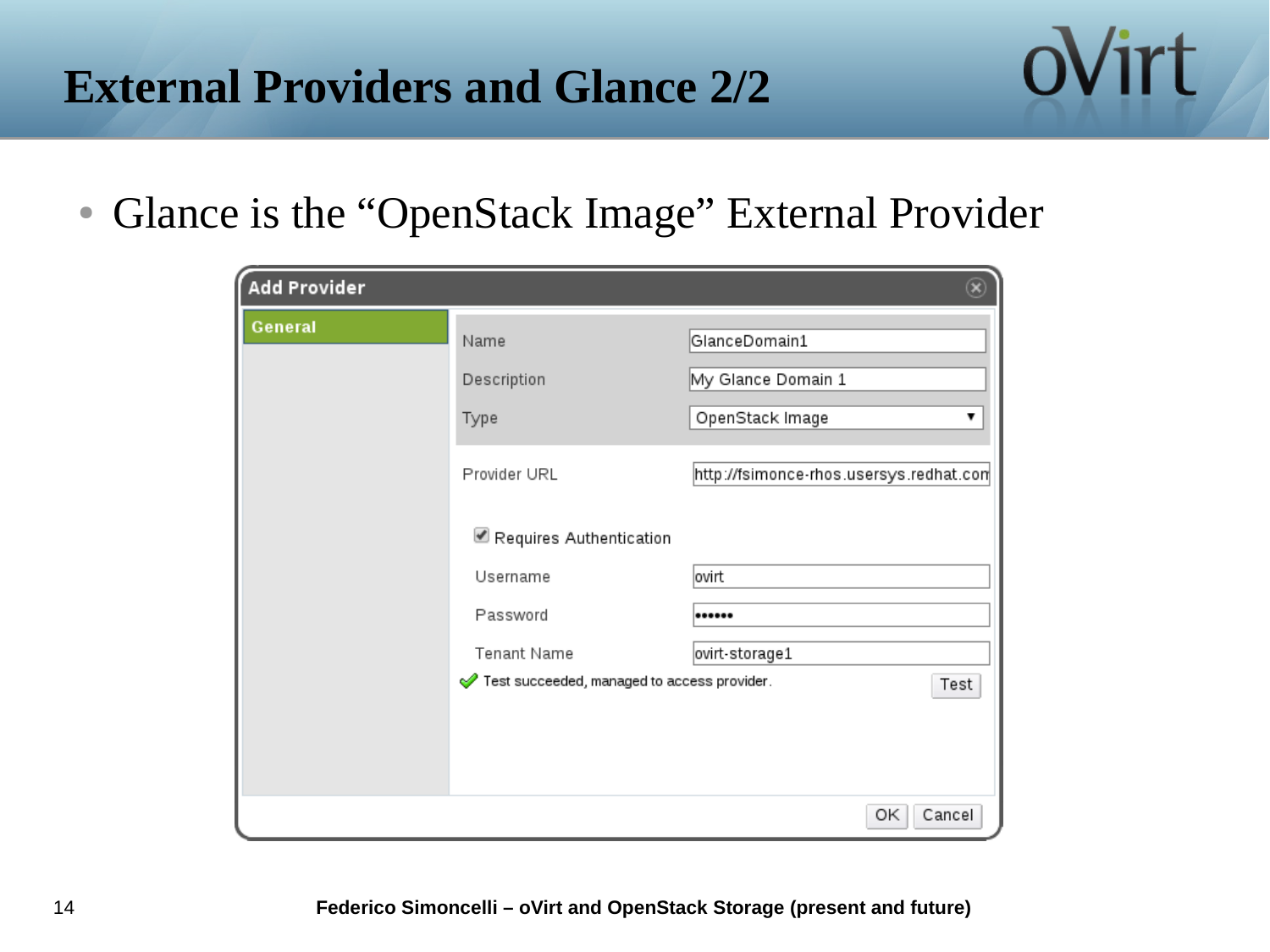#### **External Providers and Glance 2/2**

• Glance is the "OpenStack Image" External Provider

| <b>Add Provider</b> |                                             |                                         |
|---------------------|---------------------------------------------|-----------------------------------------|
| <b>General</b>      | Name                                        | GlanceDomain1                           |
|                     | Description                                 | My Glance Domain 1                      |
|                     | Type                                        | OpenStack Image                         |
|                     | Provider URL                                | http://fsimonce-rhos.usersys.redhat.com |
|                     | Requires Authentication                     |                                         |
|                     | Username                                    | ovirt                                   |
|                     | Password                                    |                                         |
|                     | Tenant Name                                 | ovirt-storage1                          |
|                     | Test succeeded, managed to access provider. | Test                                    |
|                     |                                             |                                         |
|                     |                                             |                                         |
|                     |                                             | Cancel<br>ОΚ                            |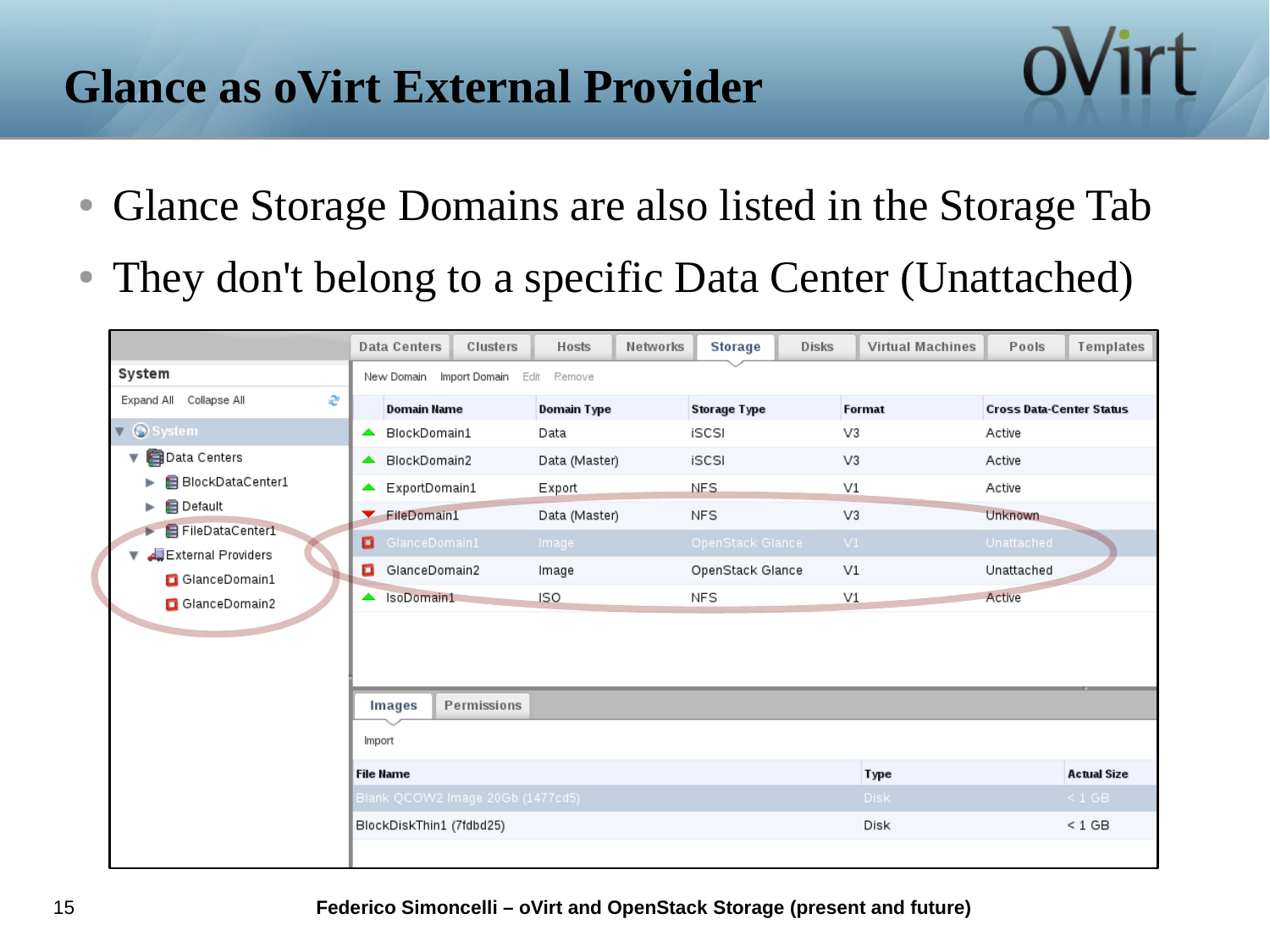### **Glance as oVirt External Provider**

• Glance Storage Domains are also listed in the Storage Tab

ovirt

• They don't belong to a specific Data Center (Unattached)

|                                       | <b>Data Centers</b>                  | Clusters    | <b>Hosts</b>       | Networks | <b>Storage</b>      | <b>Disks</b> | <b>Virtual Machines</b> | Pools                           | Templates          |
|---------------------------------------|--------------------------------------|-------------|--------------------|----------|---------------------|--------------|-------------------------|---------------------------------|--------------------|
| System                                | New Domain Import Domain Edit Remove |             |                    |          |                     |              |                         |                                 |                    |
| Expand All Collapse All<br>e          | <b>Domain Name</b>                   |             | <b>Domain Type</b> |          | <b>Storage Type</b> |              | <b>Format</b>           | <b>Cross Data-Center Status</b> |                    |
| System<br>$\blacktriangledown$        | BlockDomain1<br>$\blacktriangle$     |             | Data               |          | iSCSI               |              | V3                      | Active                          |                    |
| Data Centers<br>v                     | ▲ BlockDomain2                       |             | Data (Master)      |          | iSCSI               |              | V3                      | Active                          |                    |
| BlockDataCenter1<br>ь                 | ExportDomain1                        |             | <b>Export</b>      |          | <b>NFS</b>          |              | V1                      | Active                          |                    |
| <b>B</b> Default<br>▶                 | FileDomain1                          |             | Data (Master)      |          | NFS                 |              | V3                      | Unknown                         |                    |
| FileDataCenter1<br>External Providers | GlanceDomain1                        |             | Image              |          | OpenStack Glance    |              | VI                      | Unattached                      |                    |
| GlanceDomain1                         | GlanceDomain2                        |             | Image              |          | OpenStack Glance    |              | V1                      | Unattached                      |                    |
| GlanceDomain2                         | SoDomain1                            |             | <b>ISO</b>         |          | <b>NFS</b>          |              | V1                      | Active                          |                    |
|                                       |                                      |             |                    |          |                     |              |                         |                                 |                    |
|                                       |                                      |             |                    |          |                     |              |                         |                                 |                    |
|                                       | <b>Images</b>                        | Permissions |                    |          |                     |              |                         |                                 |                    |
|                                       | Import                               |             |                    |          |                     |              |                         |                                 |                    |
|                                       | <b>File Name</b>                     |             |                    |          |                     |              | <b>Type</b>             |                                 | <b>Actual Size</b> |
|                                       | Blank QCOW2 Image 20Gb (1477cd5)     |             |                    |          |                     |              | <b>Disk</b>             |                                 | $\leq 1$ GB        |
|                                       | BlockDiskThin1 (7fdbd25)             |             |                    |          |                     |              | Disk                    |                                 | $< 1$ GB           |
|                                       |                                      |             |                    |          |                     |              |                         |                                 |                    |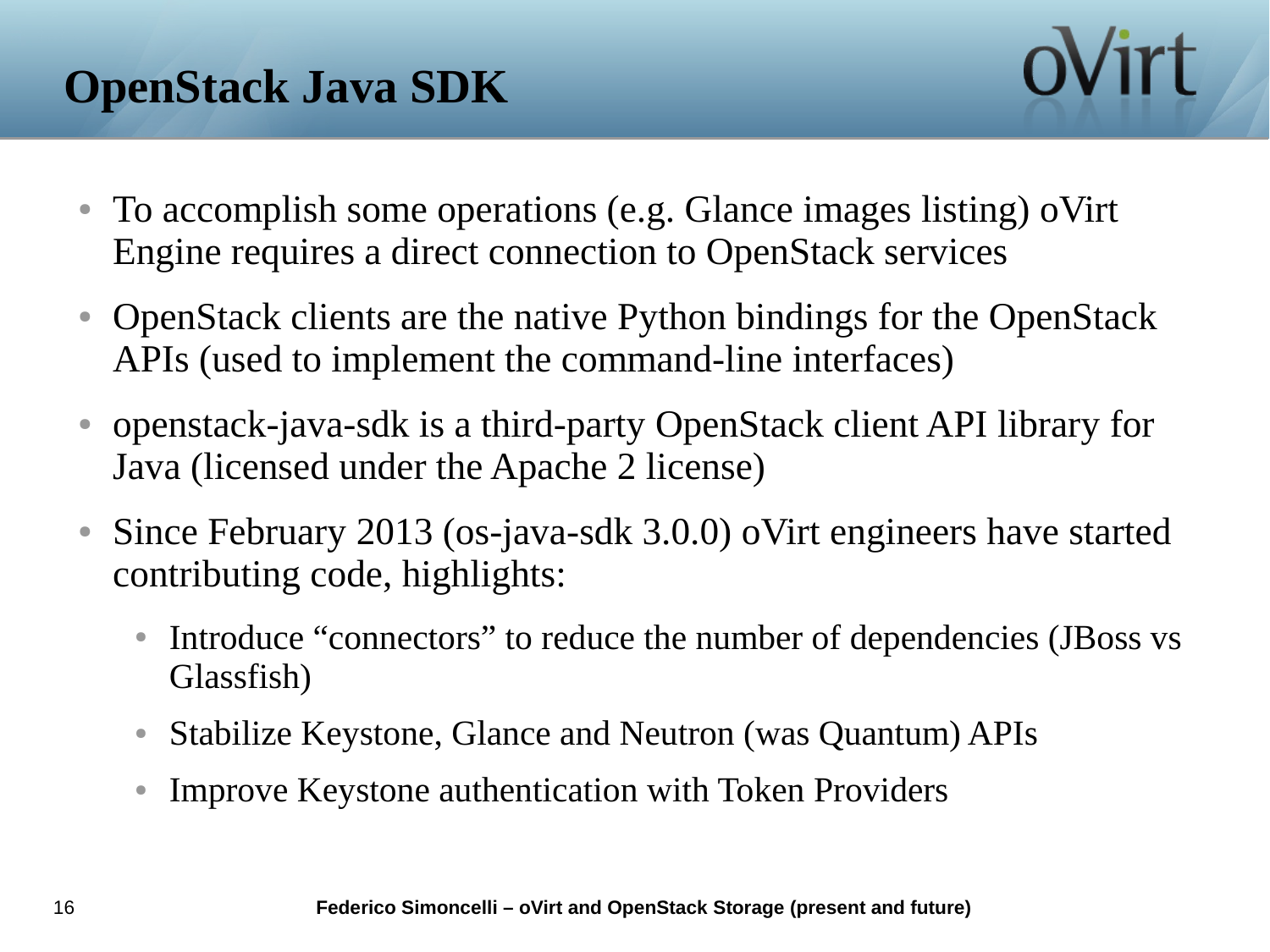

- To accomplish some operations (e.g. Glance images listing) oVirt Engine requires a direct connection to OpenStack services
- OpenStack clients are the native Python bindings for the OpenStack APIs (used to implement the command-line interfaces)
- openstack-java-sdk is a third-party OpenStack client API library for Java (licensed under the Apache 2 license)
- Since February 2013 (os-java-sdk 3.0.0) oVirt engineers have started contributing code, highlights:
	- Introduce "connectors" to reduce the number of dependencies (JBoss vs Glassfish)
	- Stabilize Keystone, Glance and Neutron (was Quantum) APIs
	- Improve Keystone authentication with Token Providers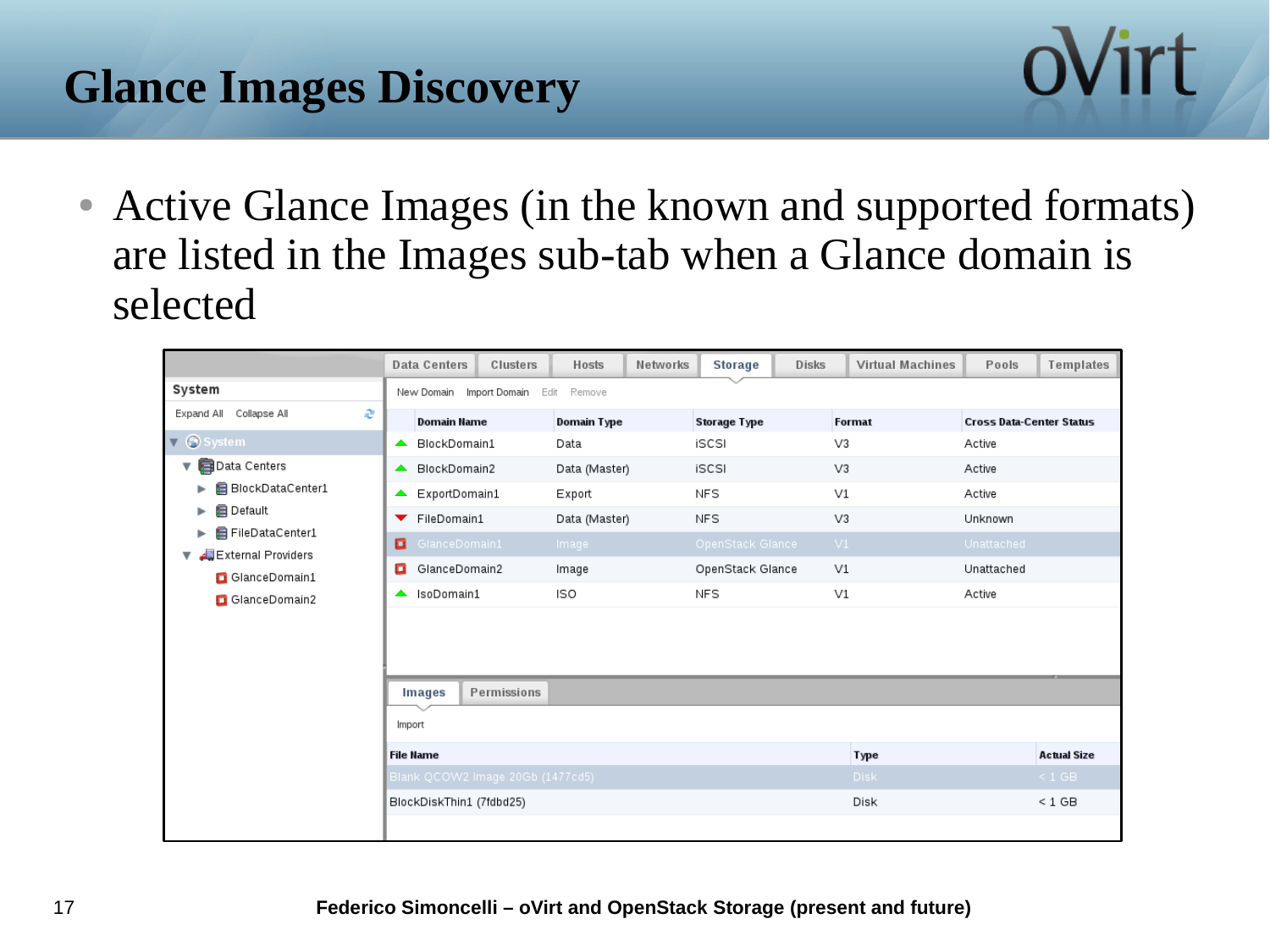# **Glance Images Discovery**



• Active Glance Images (in the known and supported formats) are listed in the Images sub-tab when a Glance domain is selected

|                                                     | <b>Data Centers</b>              | Clusters<br>Hosts  | Networks | <b>Storage</b>      | <b>Disks</b> | <b>Virtual Machines</b> | Pools                           | Templates          |
|-----------------------------------------------------|----------------------------------|--------------------|----------|---------------------|--------------|-------------------------|---------------------------------|--------------------|
| System                                              | Import Domain<br>New Domain      | Edit Remove        |          |                     |              |                         |                                 |                    |
| Collapse All<br>Expand All<br>æ                     | <b>Domain Name</b>               | <b>Domain Type</b> |          | <b>Storage Type</b> |              | <b>Format</b>           | <b>Cross Data-Center Status</b> |                    |
| $\blacktriangledown$ G system                       | BlockDomain1<br>▲                | Data               |          | iSCSI               |              | V3                      | Active                          |                    |
| Data Centers<br>v                                   | BlockDomain2<br>▴                | Data (Master)      |          | iSCSI               |              | V <sub>3</sub>          | Active                          |                    |
| BlockDataCenter1                                    | ExportDomain1<br>▲               | Export             |          | V1<br>NFS<br>NFS    |              |                         | Active<br>Unknown               |                    |
| <b>B</b> Default<br>►                               | ▼ FileDomain1                    | Data (Master)      |          |                     |              | V3                      |                                 |                    |
| <b>日 FileDataCenter1</b><br>External Providers الله | ۰<br>GlanceDomain1               | Image              |          | OpenStack Glance    |              | VI                      | Unattached                      |                    |
| GlanceDomain1                                       | GlanceDomain2<br>o               | Image              |          | OpenStack Glance    |              | V1                      | Unattached                      |                    |
| GlanceDomain2                                       | A IsoDomain1                     | ISO                |          | <b>NFS</b>          |              | V1                      | Active                          |                    |
|                                                     |                                  |                    |          |                     |              |                         |                                 |                    |
|                                                     | <b>Images</b>                    | Permissions        |          |                     |              |                         |                                 |                    |
|                                                     | Import                           |                    |          |                     |              |                         |                                 |                    |
|                                                     | <b>File Name</b>                 |                    |          |                     |              | <b>Type</b>             |                                 | <b>Actual Size</b> |
|                                                     | Blank QCOW2 Image 20Gb (1477cd5) |                    |          |                     |              | <b>Disk</b>             |                                 | $\leq 1$ GB        |
|                                                     | BlockDiskThin1 (7fdbd25)         |                    |          |                     |              | Disk                    |                                 | $< 1$ GB           |
|                                                     |                                  |                    |          |                     |              |                         |                                 |                    |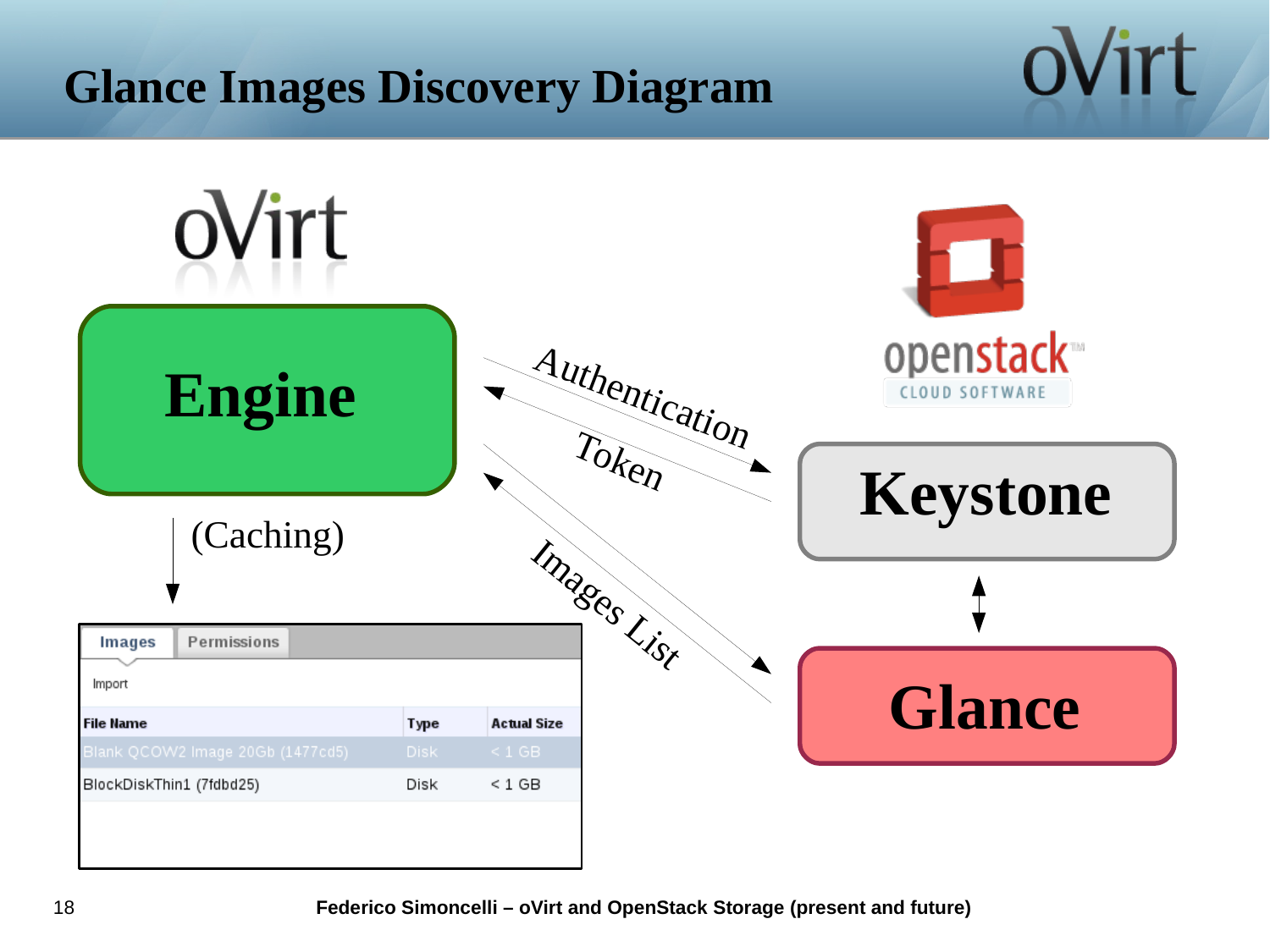# **Glance Images Discovery Diagram**



ovirt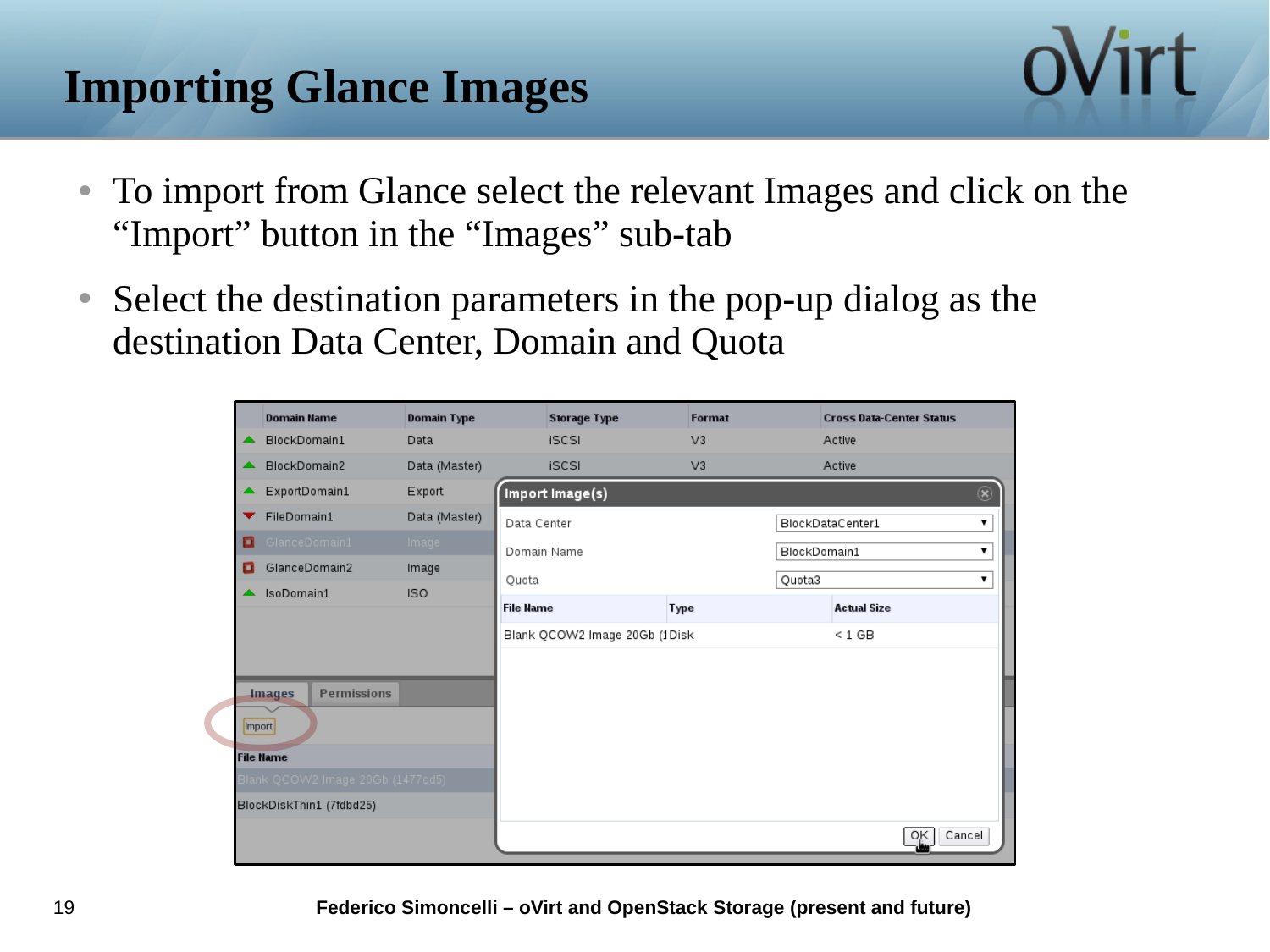# **Importing Glance Images**



- To import from Glance select the relevant Images and click on the "Import" button in the "Images" sub-tab
- Select the destination parameters in the pop-up dialog as the destination Data Center, Domain and Quota

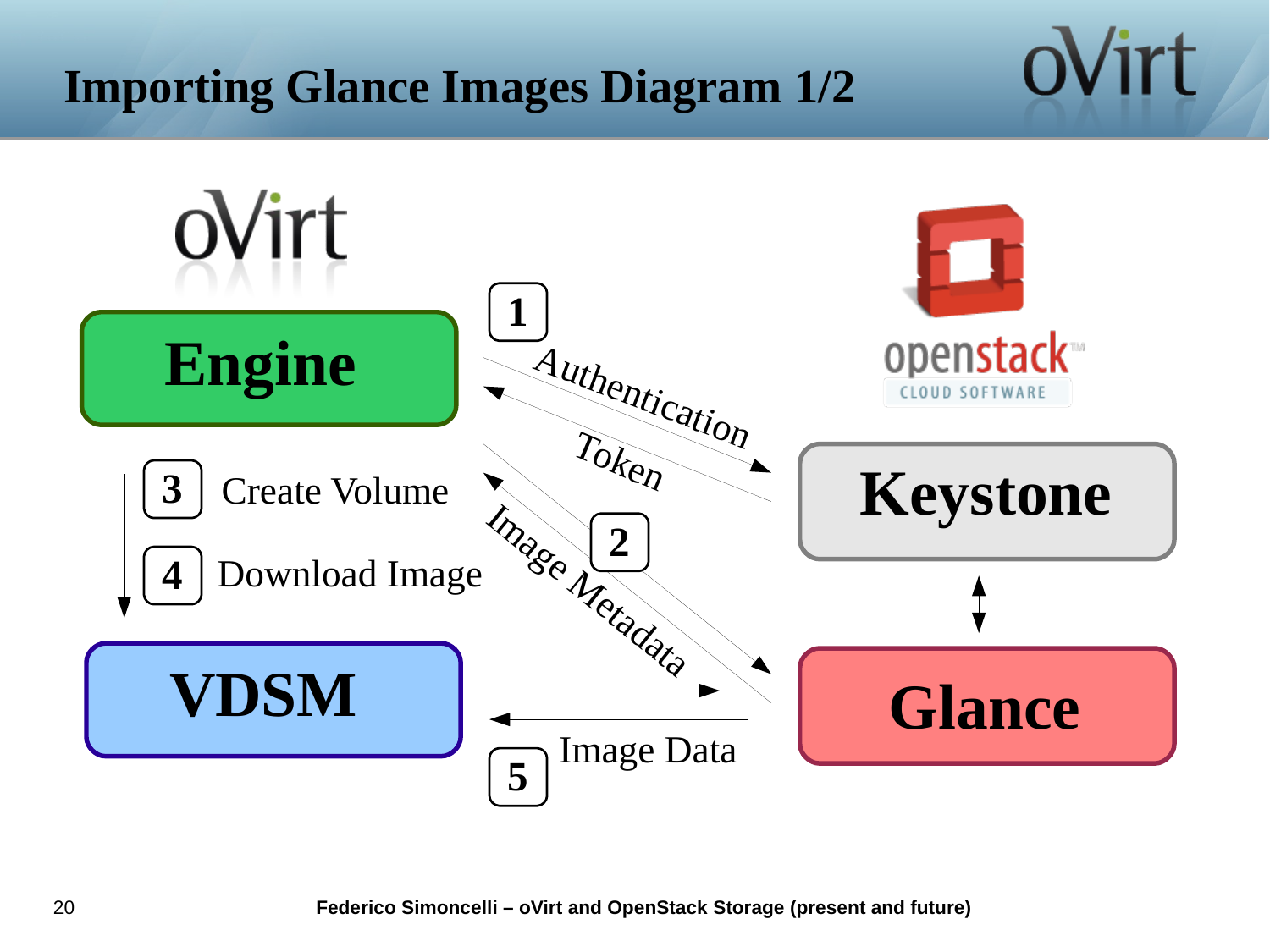# **Importing Glance Images Diagram 1/2**

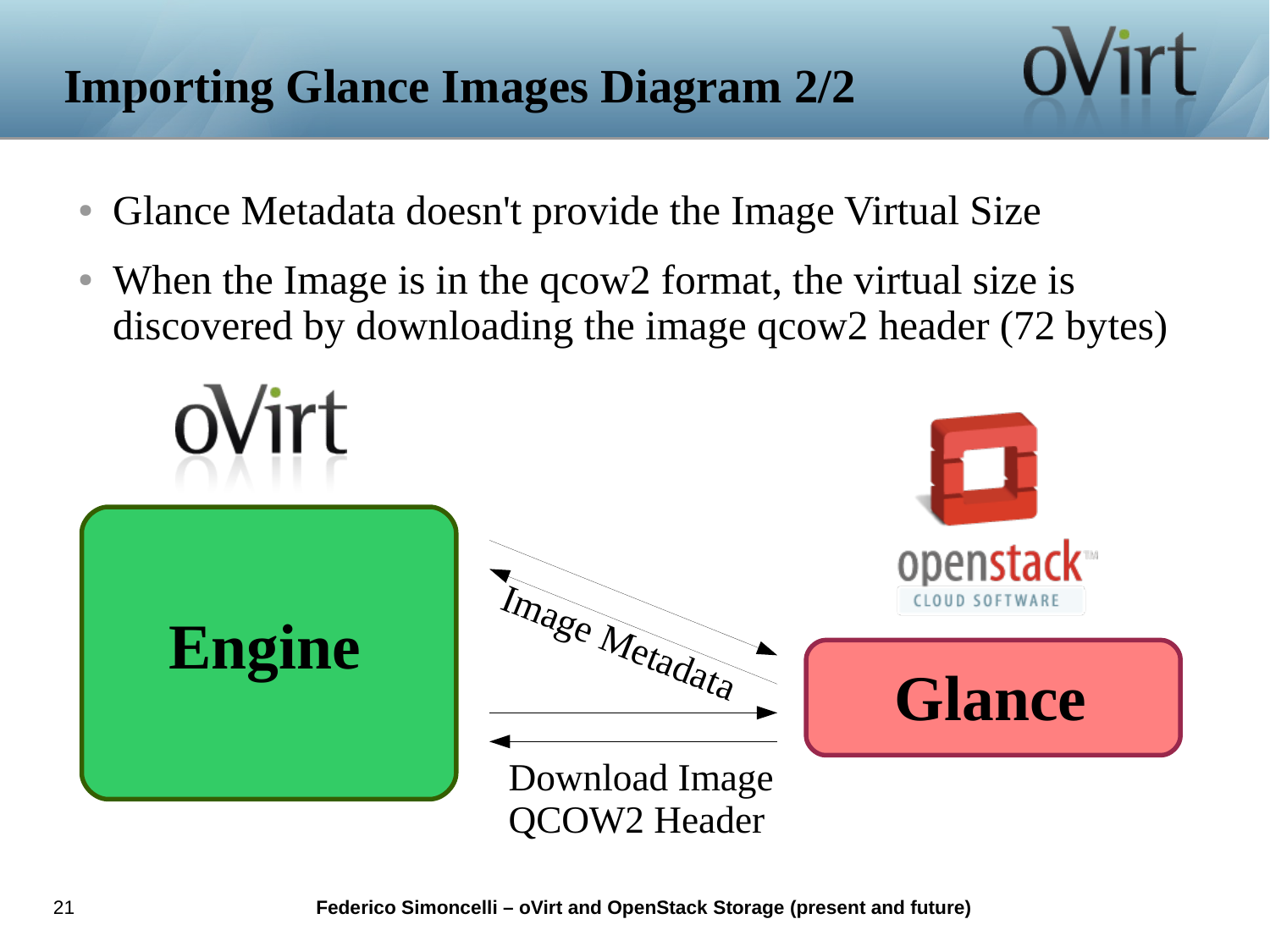# **Importing Glance Images Diagram 2/2**

- Glance Metadata doesn't provide the Image Virtual Size
- When the Image is in the qcow2 format, the virtual size is discovered by downloading the image qcow2 header (72 bytes)

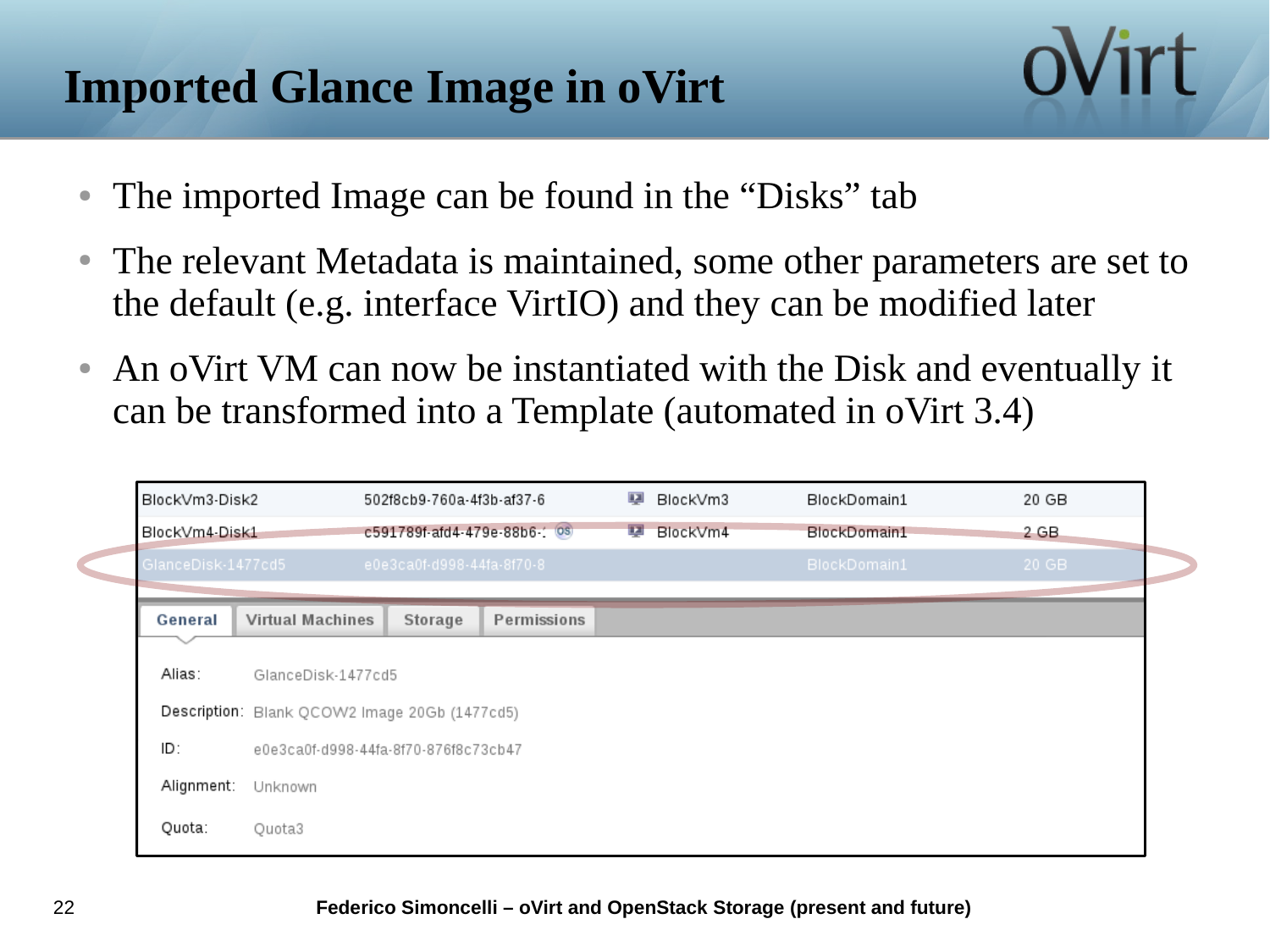# **Imported Glance Image in oVirt**

- The imported Image can be found in the "Disks" tab
- The relevant Metadata is maintained, some other parameters are set to the default (e.g. interface VirtIO) and they can be modified later
- An oVirt VM can now be instantiated with the Disk and eventually it can be transformed into a Template (automated in oVirt 3.4)

| BlockVm3-Disk2     |                                               | 502f8cb9-760a-4f3b-af37-6 |                              |   | BlockVm3                 | BlockDomain1 | 20 GB |  |  |
|--------------------|-----------------------------------------------|---------------------------|------------------------------|---|--------------------------|--------------|-------|--|--|
| BlockVm4-Disk1     |                                               |                           | c591789f-afd4-479e-88b6-1 0s | 禀 | BlockVm4<br>BlockDomain1 |              | 2 GB  |  |  |
| GlanceDisk-1477cd5 |                                               | e0e3ca0f-d998-44fa-8f70-8 |                              |   |                          | BlockDomain1 | 20 GB |  |  |
| General            | <b>Virtual Machines</b>                       | Storage                   | Permissions                  |   |                          |              |       |  |  |
|                    |                                               |                           |                              |   |                          |              |       |  |  |
| Alias:             | GlanceDisk-1477cd5                            |                           |                              |   |                          |              |       |  |  |
|                    | Description: Blank QCOW2 Image 20Gb (1477cd5) |                           |                              |   |                          |              |       |  |  |
| ID:                | e0e3ca0f-d998-44fa-8f70-876f8c73cb47          |                           |                              |   |                          |              |       |  |  |
| Alignment:         | Unknown                                       |                           |                              |   |                          |              |       |  |  |
|                    |                                               |                           |                              |   |                          |              |       |  |  |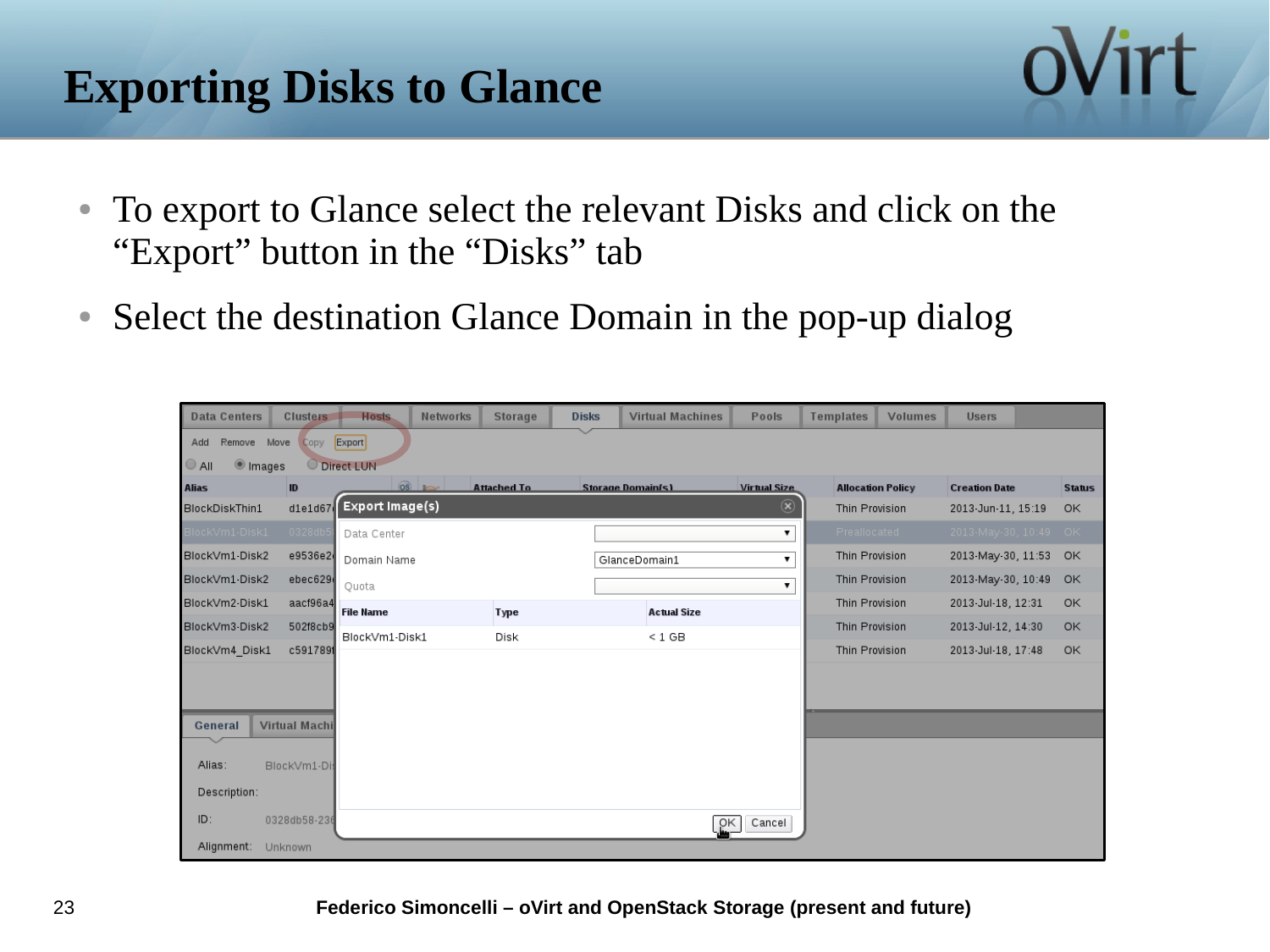# **Exporting Disks to Glance**



ovirt

• Select the destination Glance Domain in the pop-up dialog

| <b>Data Centers</b> |                                  | <b>Clusters</b>      | <b>Hosts</b>     | <b>Networks</b> | <b>Storage</b>     | <b>Disks</b> | <b>Virtual Machines</b>  | Pools                    | <b>Templates</b>         | <b>Volumes</b> | <b>Users</b>          |               |
|---------------------|----------------------------------|----------------------|------------------|-----------------|--------------------|--------------|--------------------------|--------------------------|--------------------------|----------------|-----------------------|---------------|
| Add                 | Export<br>Move<br>Remove<br>Copy |                      |                  |                 |                    |              |                          |                          |                          |                |                       |               |
| $\bigcirc$ All      | <sup>1</sup> Images              |                      | Direct LUN       |                 |                    |              |                          |                          |                          |                |                       |               |
| <b>Alias</b>        |                                  | ID                   |                  | OS              | <b>Attached To</b> |              | <b>Storage Domain(s)</b> | <b>Virtual Size</b>      | <b>Allocation Policy</b> |                | <b>Creation Date</b>  | <b>Status</b> |
| BlockDiskThin1      |                                  | $dl$ e1d67           | Export Image(s)  |                 |                    |              |                          | $(\widehat{\mathbf{x}})$ | Thin Provision           |                | 2013-Jun-11, 15:19    | OK            |
| BlockVm1-Disk1      |                                  | 0328db               | Data Center      |                 |                    |              |                          | ▼                        | Preallocated             |                | 2013-May-30, 10:49 OK |               |
| BlockVm1-Disk2      |                                  | e9536e2              | Domain Name      |                 |                    |              | GlanceDomain1            |                          | Thin Provision           |                | 2013-May-30, 11:53    | OK            |
| BlockVm1-Disk2      |                                  | ebec629              | Quota            |                 |                    |              |                          | ۷.                       | Thin Provision           |                | 2013-May-30, 10:49    | OK            |
| BlockVm2-Disk1      |                                  | aacf96a4             | <b>File Name</b> |                 | <b>Type</b>        |              | <b>Actual Size</b>       |                          | Thin Provision           |                | 2013 Jul 18, 12:31    | OK            |
| BlockVm3-Disk2      |                                  | 502f8cb9             | BlockVm1-Disk1   |                 | Disk               |              | $< 1$ GB                 |                          | Thin Provision           |                | 2013-Jul-12, 14:30    | OK            |
| BlockVm4 Disk1      |                                  | c5917891             |                  |                 |                    |              |                          |                          | Thin Provision           |                | 2013-Jul-18, 17:48    | OK            |
|                     |                                  |                      |                  |                 |                    |              |                          |                          |                          |                |                       |               |
|                     |                                  |                      |                  |                 |                    |              |                          |                          |                          |                |                       |               |
| General             |                                  | <b>Virtual Machi</b> |                  |                 |                    |              |                          |                          |                          |                |                       |               |
|                     |                                  |                      |                  |                 |                    |              |                          |                          |                          |                |                       |               |
| Alias:              |                                  | BlockVm1-Di          |                  |                 |                    |              |                          |                          |                          |                |                       |               |
| Description:        |                                  |                      |                  |                 |                    |              |                          |                          |                          |                |                       |               |
| ID:                 |                                  | 0328db58-236         |                  |                 |                    |              |                          | ρĸ<br>Cancel             |                          |                |                       |               |
| Alignment:          |                                  | Unknown              |                  |                 |                    |              |                          |                          |                          |                |                       |               |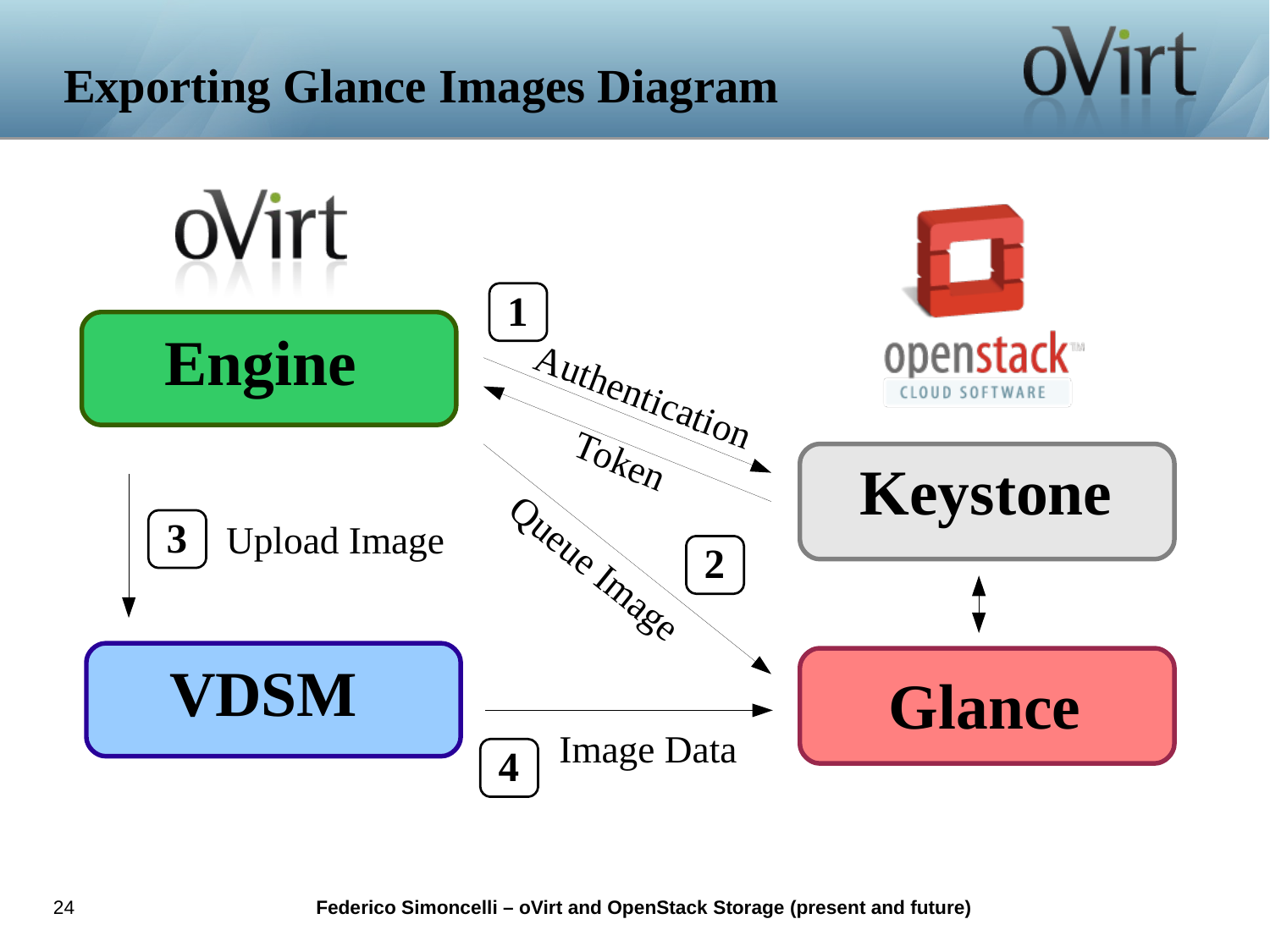# **Exporting Glance Images Diagram**

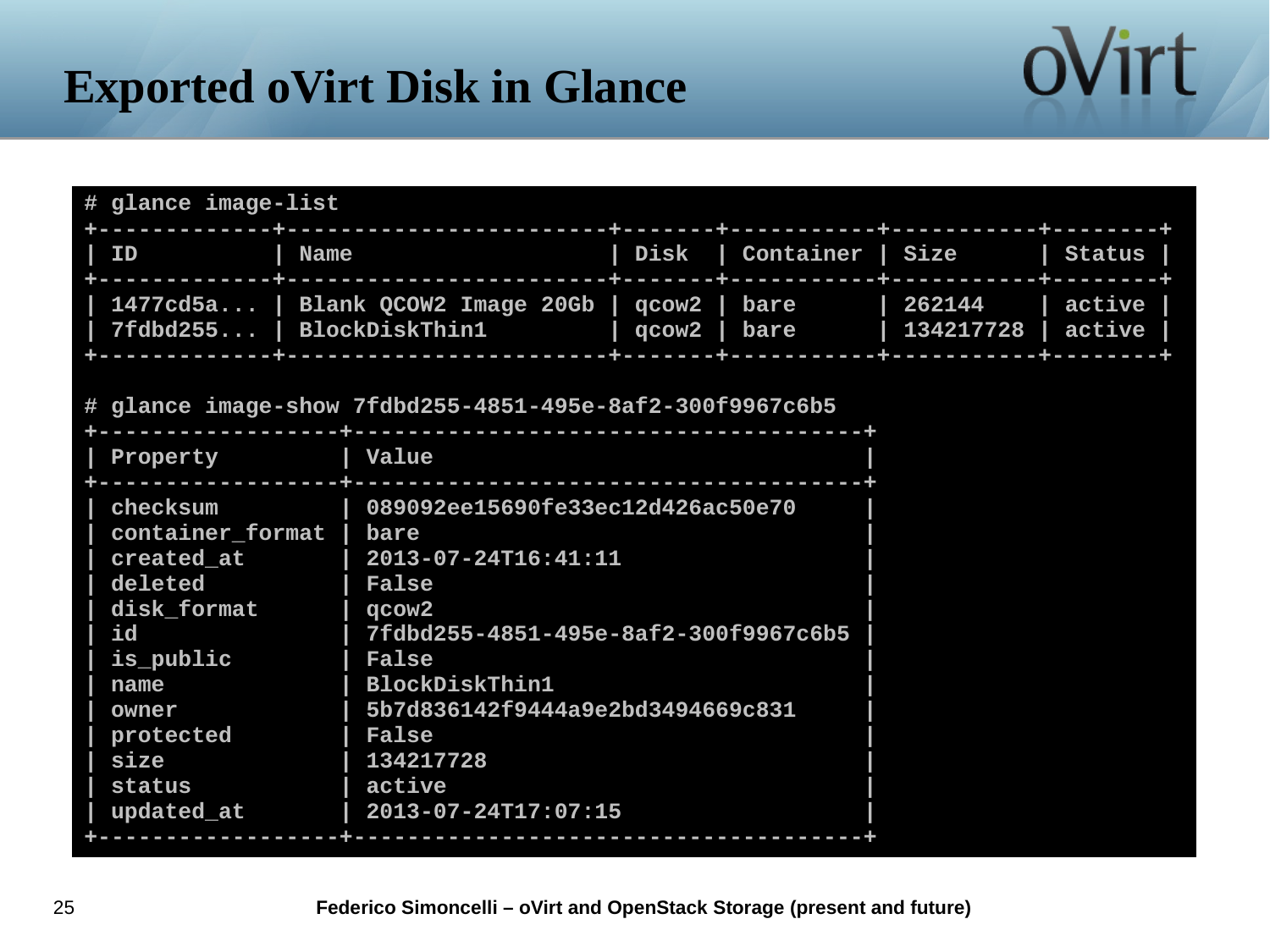# **Exported oVirt Disk in Glance**

| # glance image-list                                                                                                                                     |                                                                                                                                                                                                                                                                                         |       |              |                     |                  |
|---------------------------------------------------------------------------------------------------------------------------------------------------------|-----------------------------------------------------------------------------------------------------------------------------------------------------------------------------------------------------------------------------------------------------------------------------------------|-------|--------------|---------------------|------------------|
| ID                                                                                                                                                      | <b>Name</b>                                                                                                                                                                                                                                                                             |       |              | Container   Size    | <b>Status</b>    |
| 7fdbd255                                                                                                                                                | 1477cd5a   Blank QCOW2 Image 20Gb   qcow2  <br><b>BlockDiskThin1</b>                                                                                                                                                                                                                    | qcow2 | bare<br>bare | 262144<br>134217728 | active<br>active |
|                                                                                                                                                         | # glance image-show 7fdbd255-4851-495e-8af2-300f9967c6b5                                                                                                                                                                                                                                |       |              |                     |                  |
| Property                                                                                                                                                |                                                                                                                                                                                                                                                                                         |       |              |                     |                  |
| checksum<br>container_format  <br>created_at<br>deleted<br>disk_format<br>id<br>is_public<br>name<br>owner<br>protected<br>size<br>status<br>updated_at | 089092ee15690fe33ec12d426ac50e70<br>bare<br>2013-07-24T16:41:11<br><b>False</b><br>qcow <sub>2</sub><br>7fdbd255-4851-495e-8af2-300f9967c6b5<br><b>False</b><br><b>BlockDiskThin1</b><br>5b7d836142f9444a9e2bd3494669c831<br><b>False</b><br>134217728<br>active<br>2013-07-24T17:07:15 |       |              |                     |                  |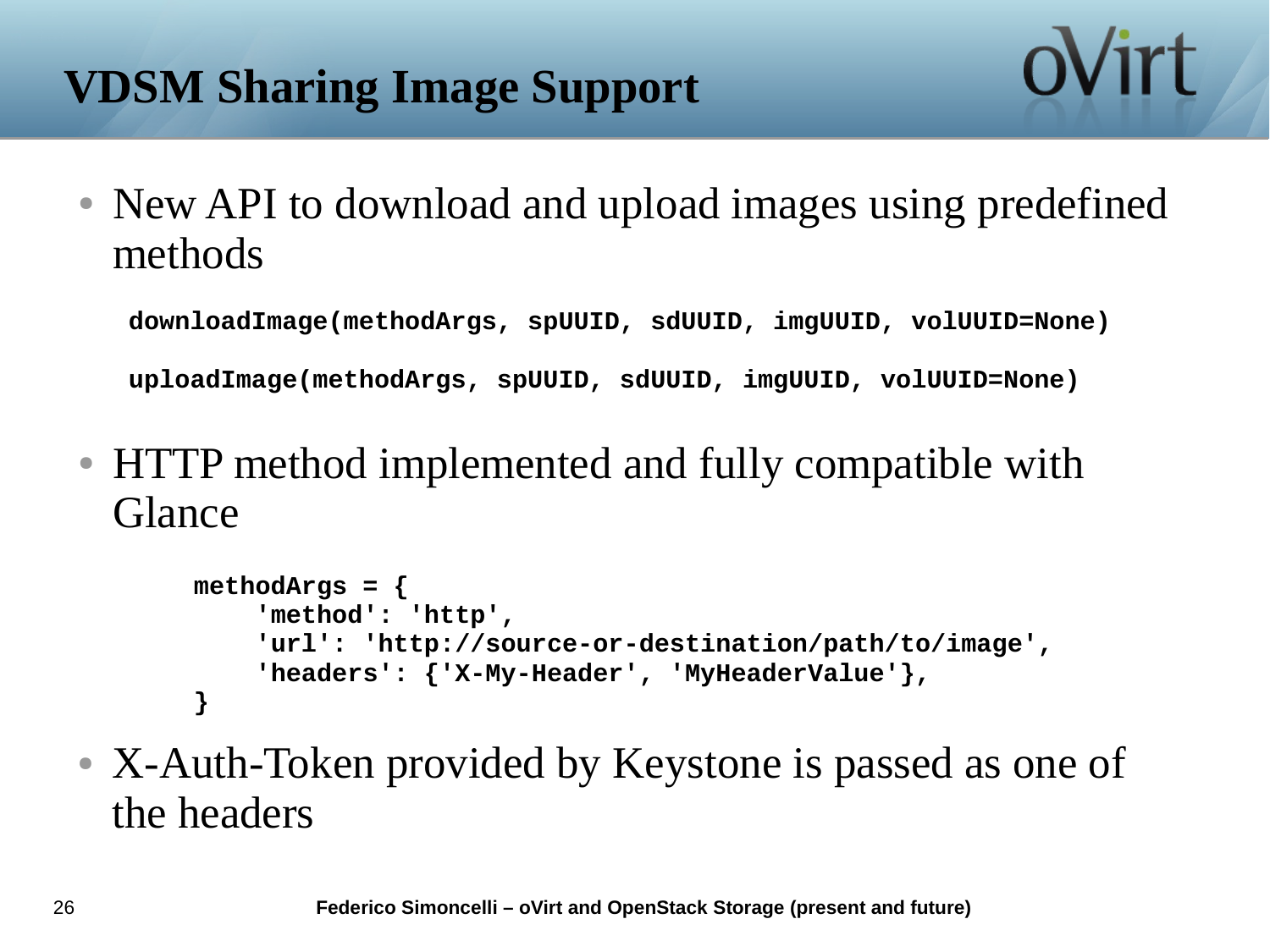• New API to download and upload images using predefined methods

**downloadImage(methodArgs, spUUID, sdUUID, imgUUID, volUUID=None)**

**uploadImage(methodArgs, spUUID, sdUUID, imgUUID, volUUID=None)**

● HTTP method implemented and fully compatible with Glance

```
methodArgs = {
     'method': 'http',
     'url': 'http://source-or-destination/path/to/image',
     'headers': {'X-My-Header', 'MyHeaderValue'},
}
```
• X-Auth-Token provided by Keystone is passed as one of the headers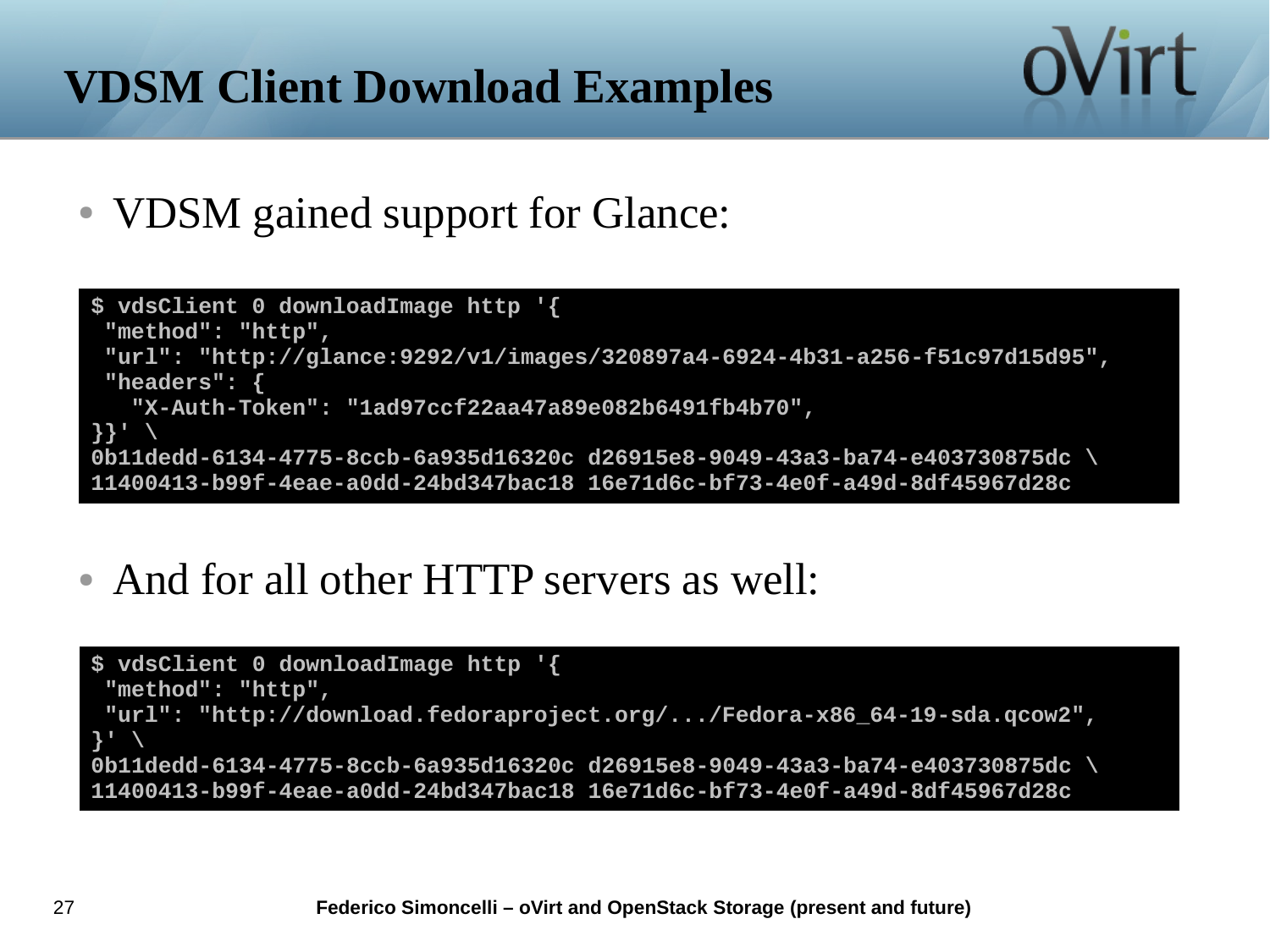# **VDSM Client Download Examples**

• VDSM gained support for Glance:

```
$ vdsClient 0 downloadImage http '{
 "method": "http",
"url": "http://glance:9292/v1/images/320897a4-6924-4b31-a256-f51c97d15d95",
"headers": {
    "X-Auth-Token": "1ad97ccf22aa47a89e082b6491fb4b70",
}}' \
0b11dedd-6134-4775-8ccb-6a935d16320c d26915e8-9049-43a3-ba74-e403730875dc \
11400413-b99f-4eae-a0dd-24bd347bac18 16e71d6c-bf73-4e0f-a49d-8df45967d28c
```
oVirt

• And for all other HTTP servers as well:

```
$ vdsClient 0 downloadImage http '{
 "method": "http",
 "url": "http://download.fedoraproject.org/.../Fedora-x86_64-19-sda.qcow2",
}' \
0b11dedd-6134-4775-8ccb-6a935d16320c d26915e8-9049-43a3-ba74-e403730875dc \
11400413-b99f-4eae-a0dd-24bd347bac18 16e71d6c-bf73-4e0f-a49d-8df45967d28c
```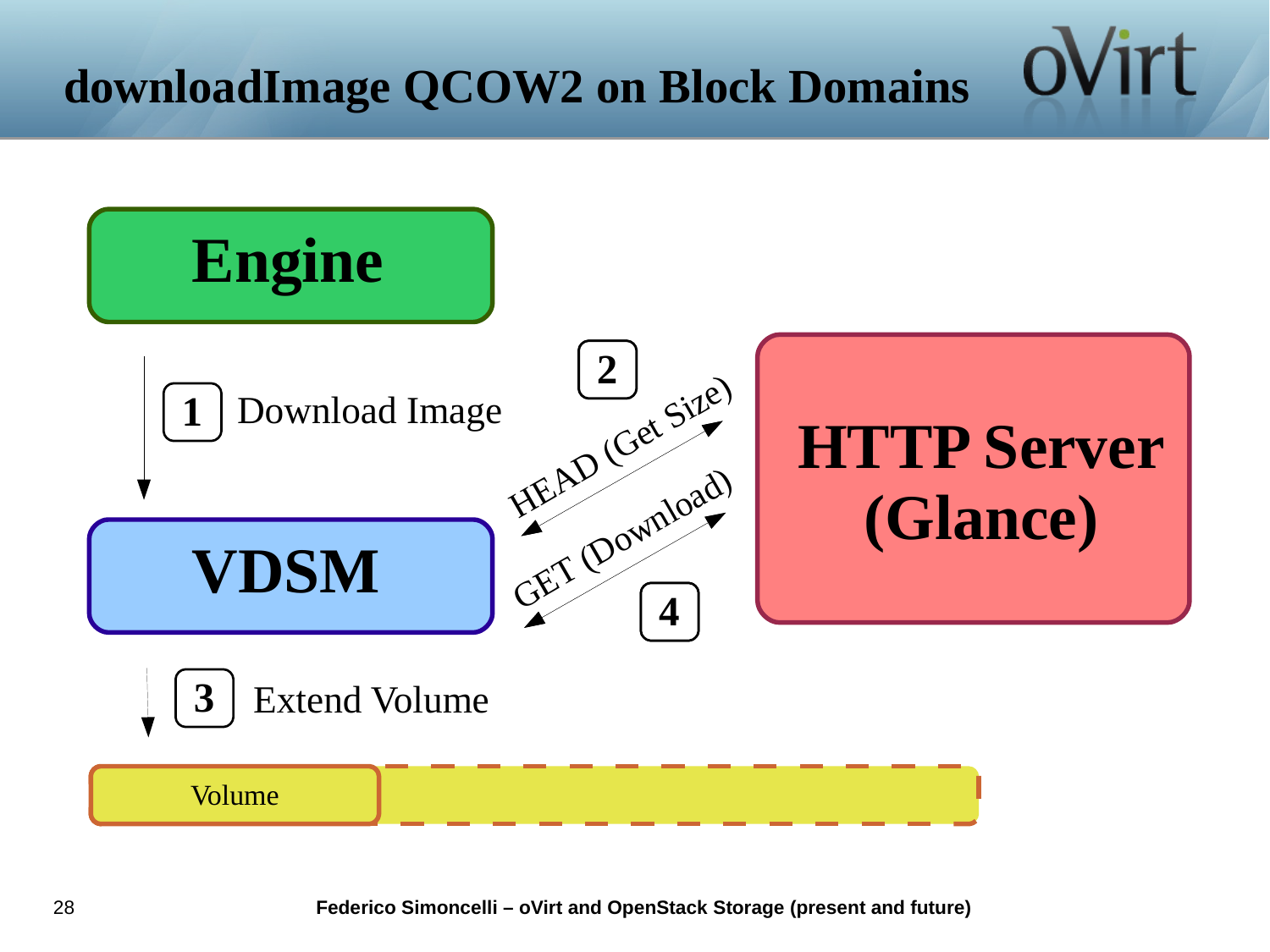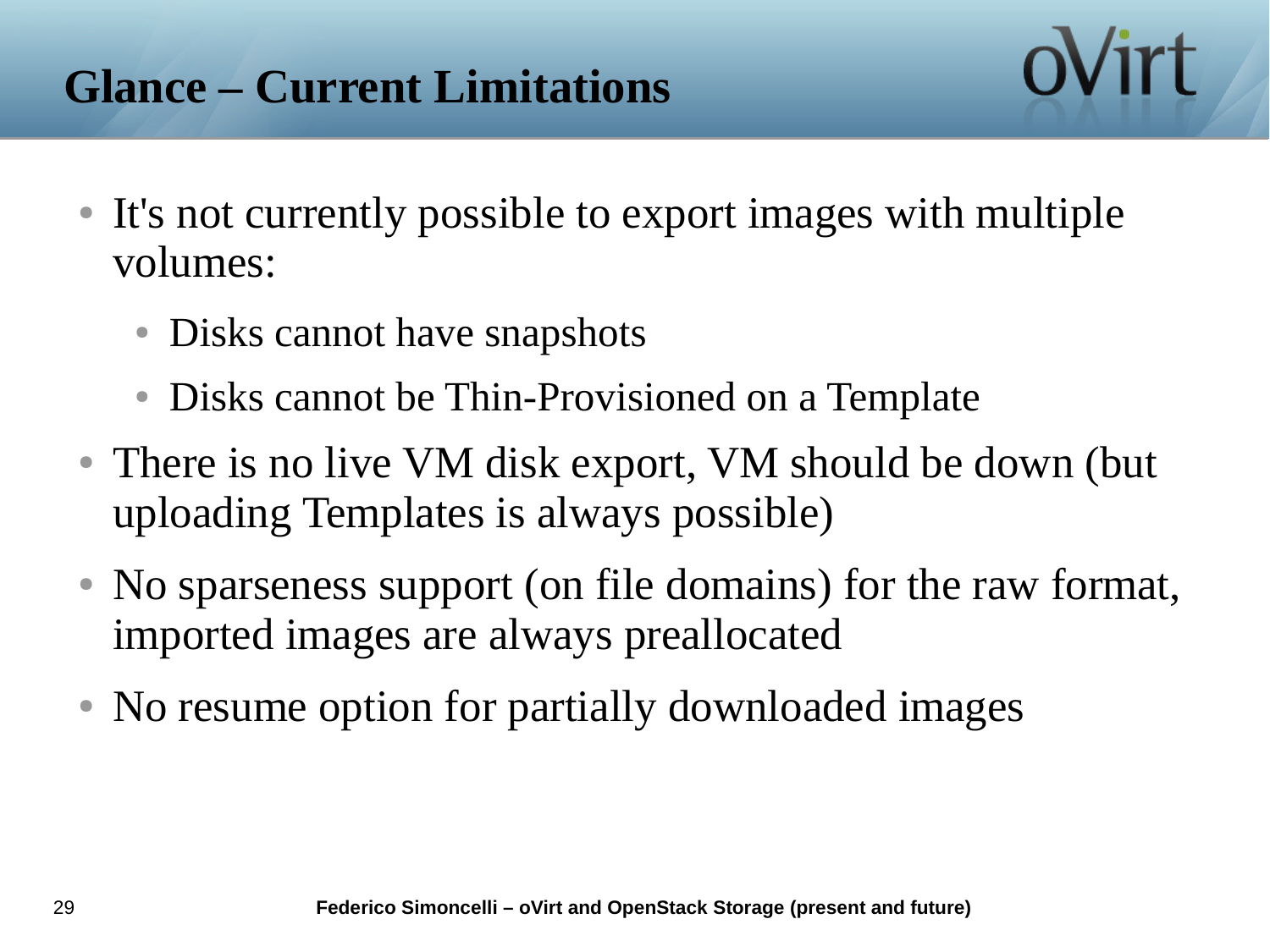- It's not currently possible to export images with multiple volumes:
	- Disks cannot have snapshots
	- Disks cannot be Thin-Provisioned on a Template
- There is no live VM disk export, VM should be down (but uploading Templates is always possible)
- No sparseness support (on file domains) for the raw format, imported images are always preallocated
- No resume option for partially downloaded images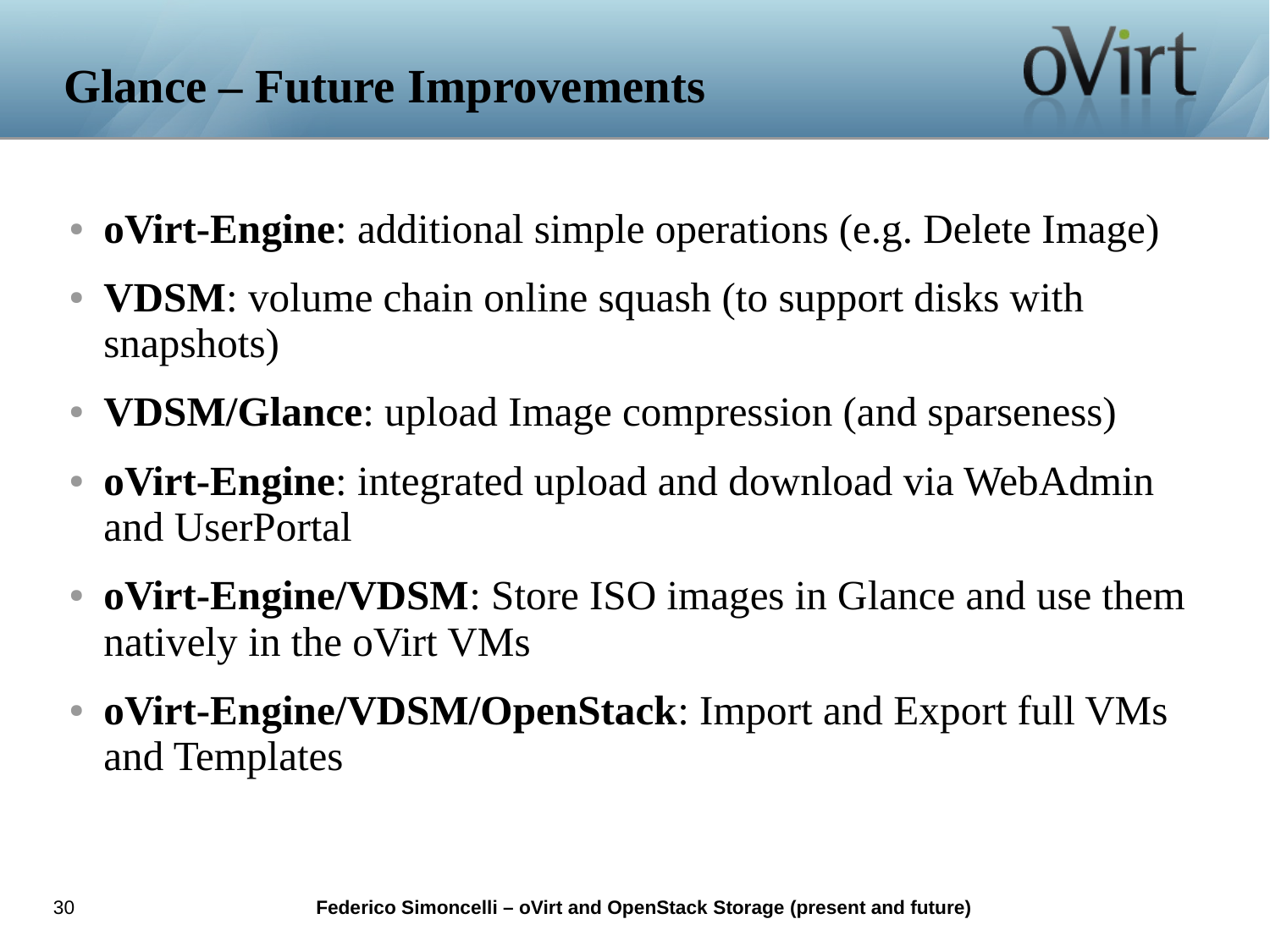- **oVirt-Engine**: additional simple operations (e.g. Delete Image)
- **VDSM**: volume chain online squash (to support disks with snapshots)
- **VDSM/Glance**: upload Image compression (and sparseness)
- **oVirt-Engine**: integrated upload and download via WebAdmin and UserPortal
- **oVirt-Engine/VDSM**: Store ISO images in Glance and use them natively in the oVirt VMs
- **oVirt-Engine/VDSM/OpenStack**: Import and Export full VMs and Templates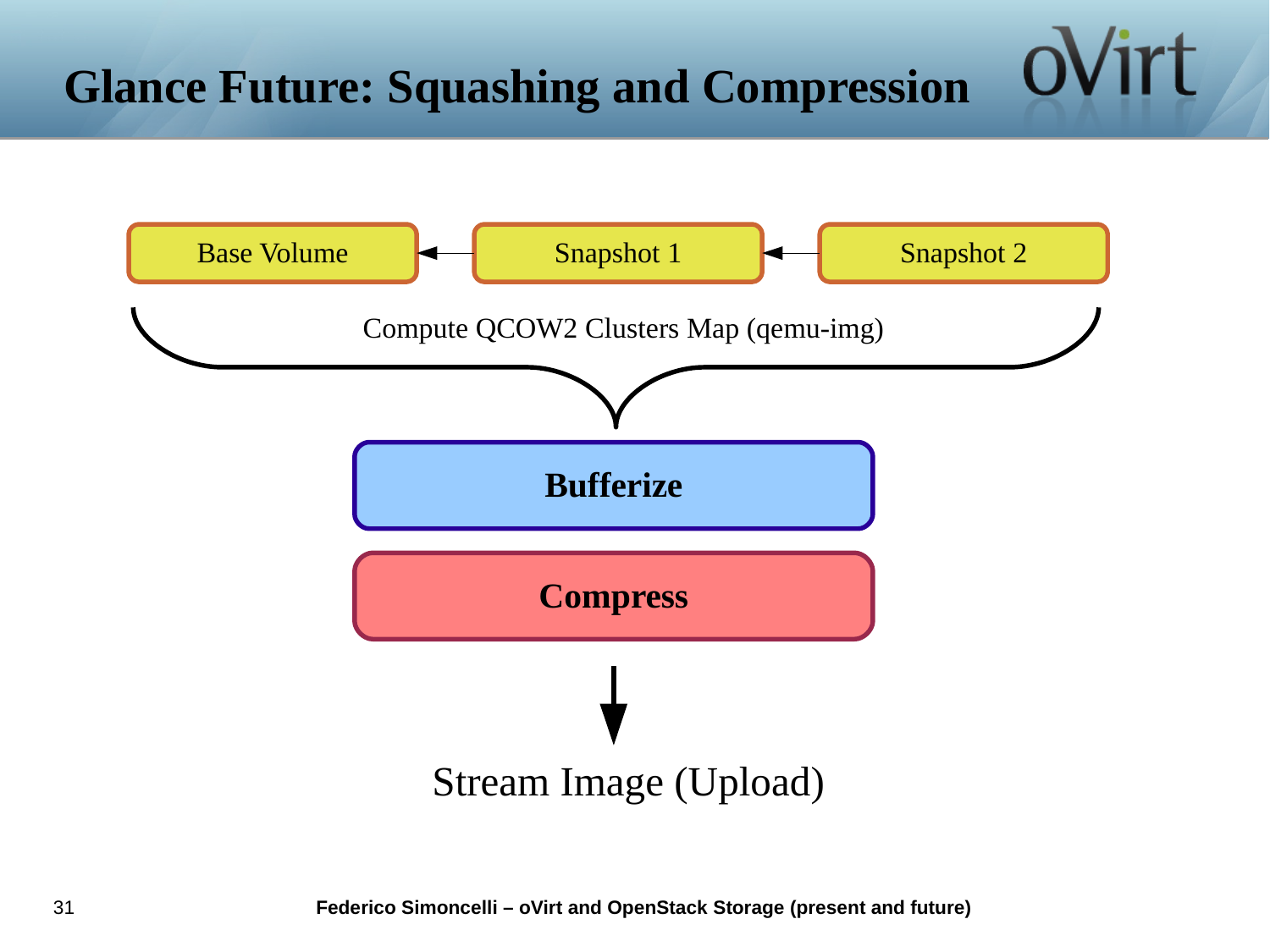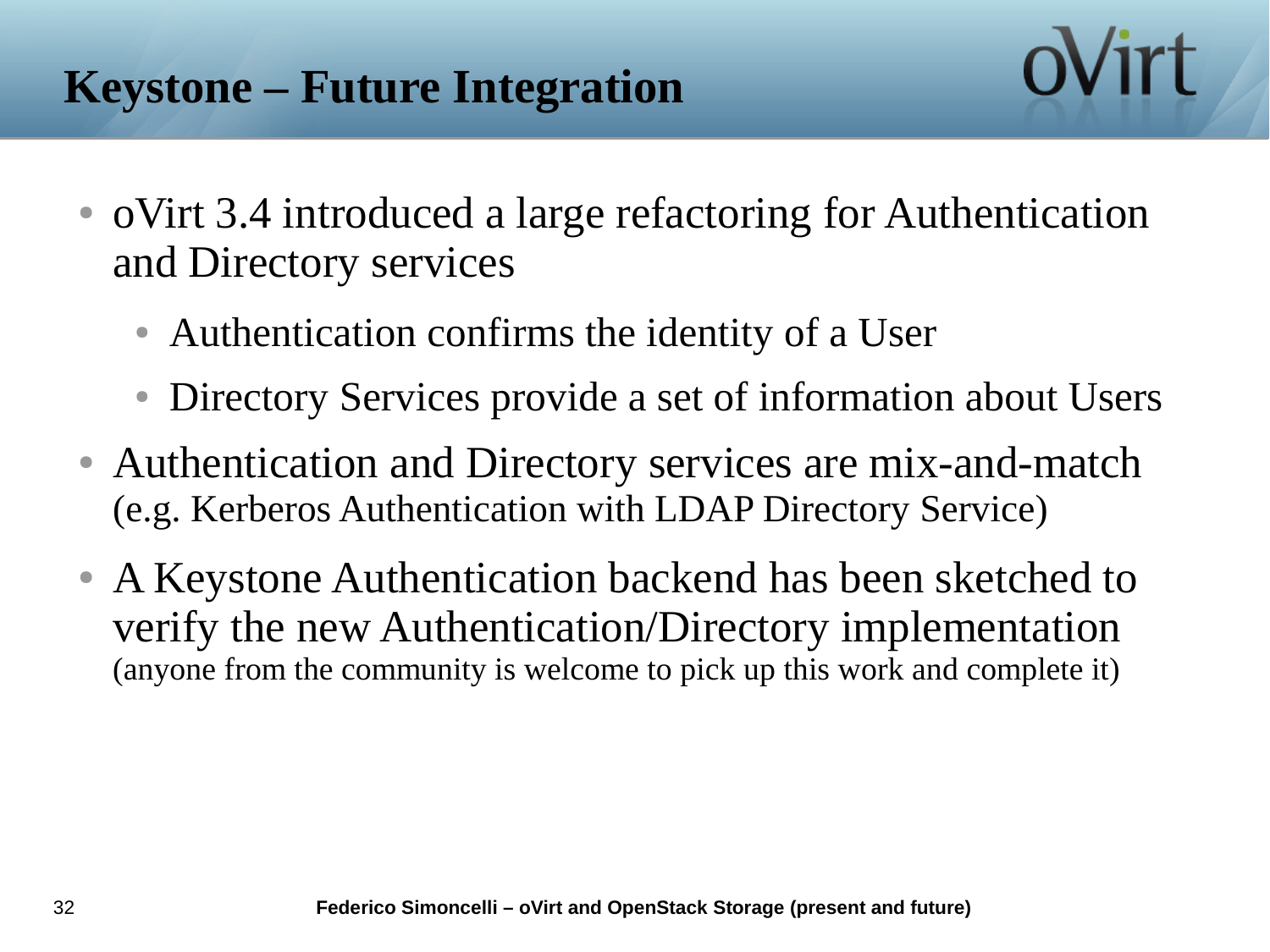- oVirt 3.4 introduced a large refactoring for Authentication and Directory services
	- Authentication confirms the identity of a User
	- Directory Services provide a set of information about Users
- Authentication and Directory services are mix-and-match (e.g. Kerberos Authentication with LDAP Directory Service)
- A Keystone Authentication backend has been sketched to verify the new Authentication/Directory implementation (anyone from the community is welcome to pick up this work and complete it)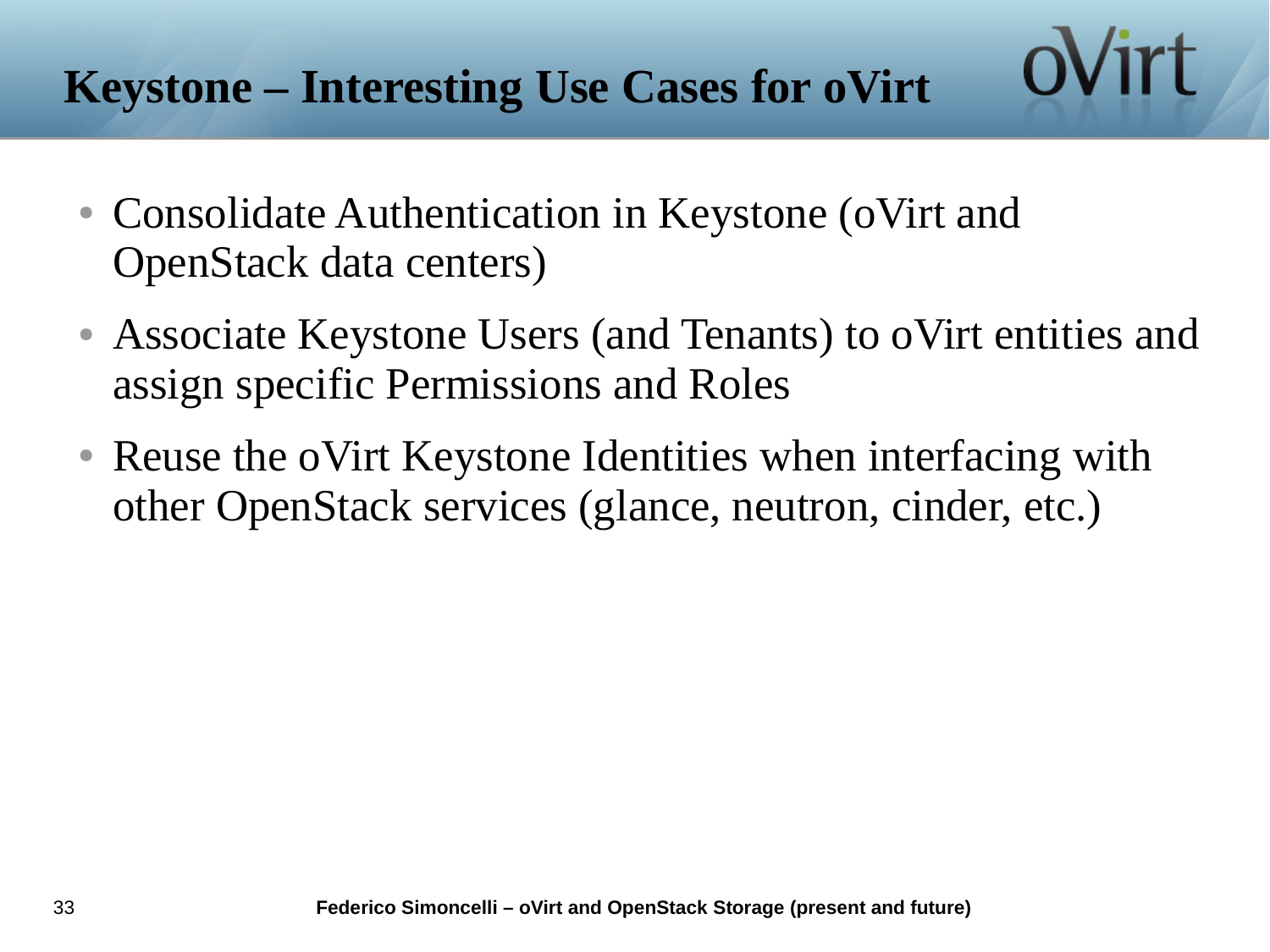#### **Keystone – Interesting Use Cases for oVirt**

- Consolidate Authentication in Keystone (oVirt and OpenStack data centers)
- Associate Keystone Users (and Tenants) to oVirt entities and assign specific Permissions and Roles
- Reuse the oVirt Keystone Identities when interfacing with other OpenStack services (glance, neutron, cinder, etc.)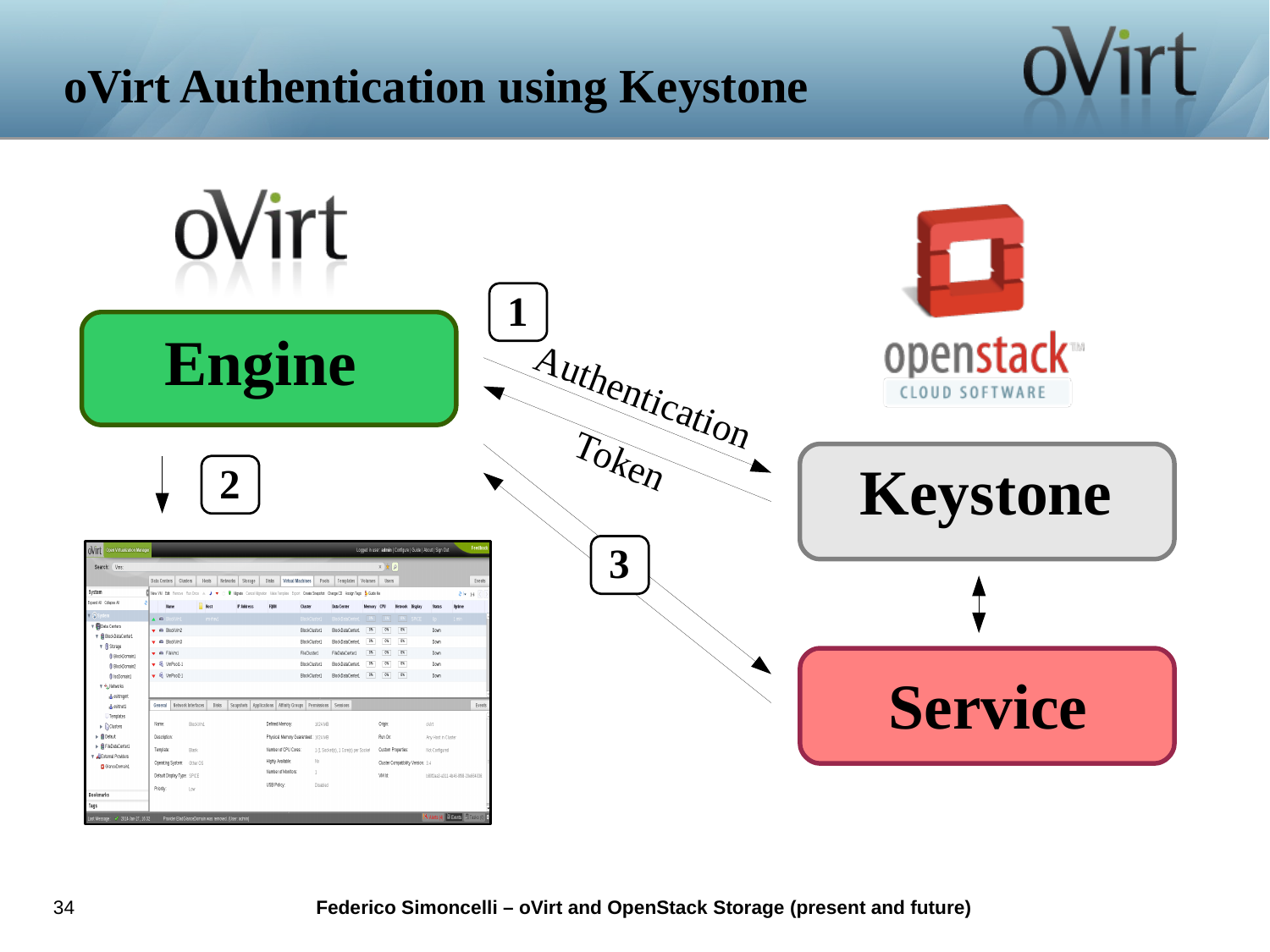# **oVirt Authentication using Keystone**



ovirt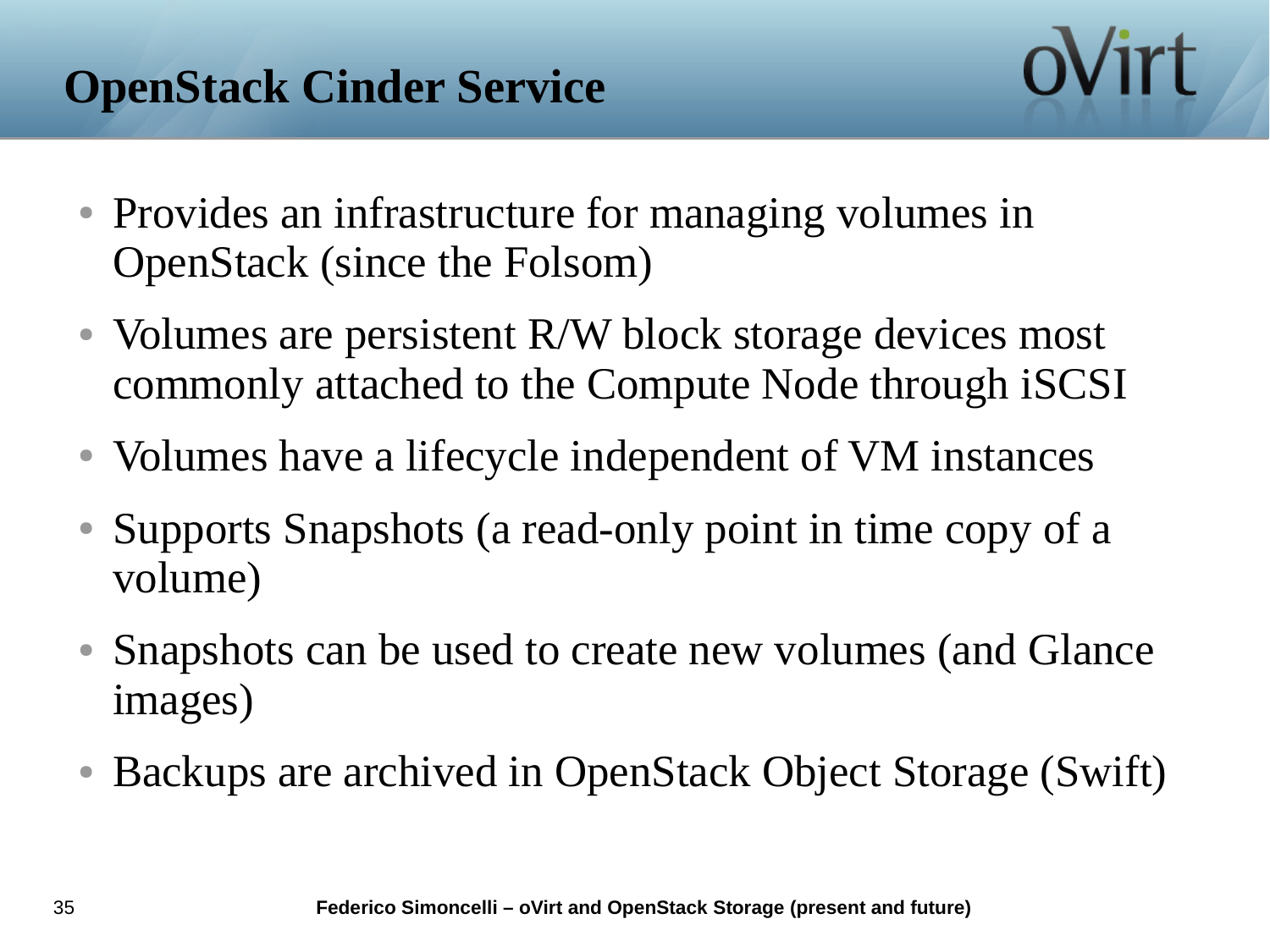- Provides an infrastructure for managing volumes in OpenStack (since the Folsom)
- Volumes are persistent R/W block storage devices most commonly attached to the Compute Node through iSCSI
- Volumes have a lifecycle independent of VM instances
- Supports Snapshots (a read-only point in time copy of a volume)
- Snapshots can be used to create new volumes (and Glance images)
- Backups are archived in OpenStack Object Storage (Swift)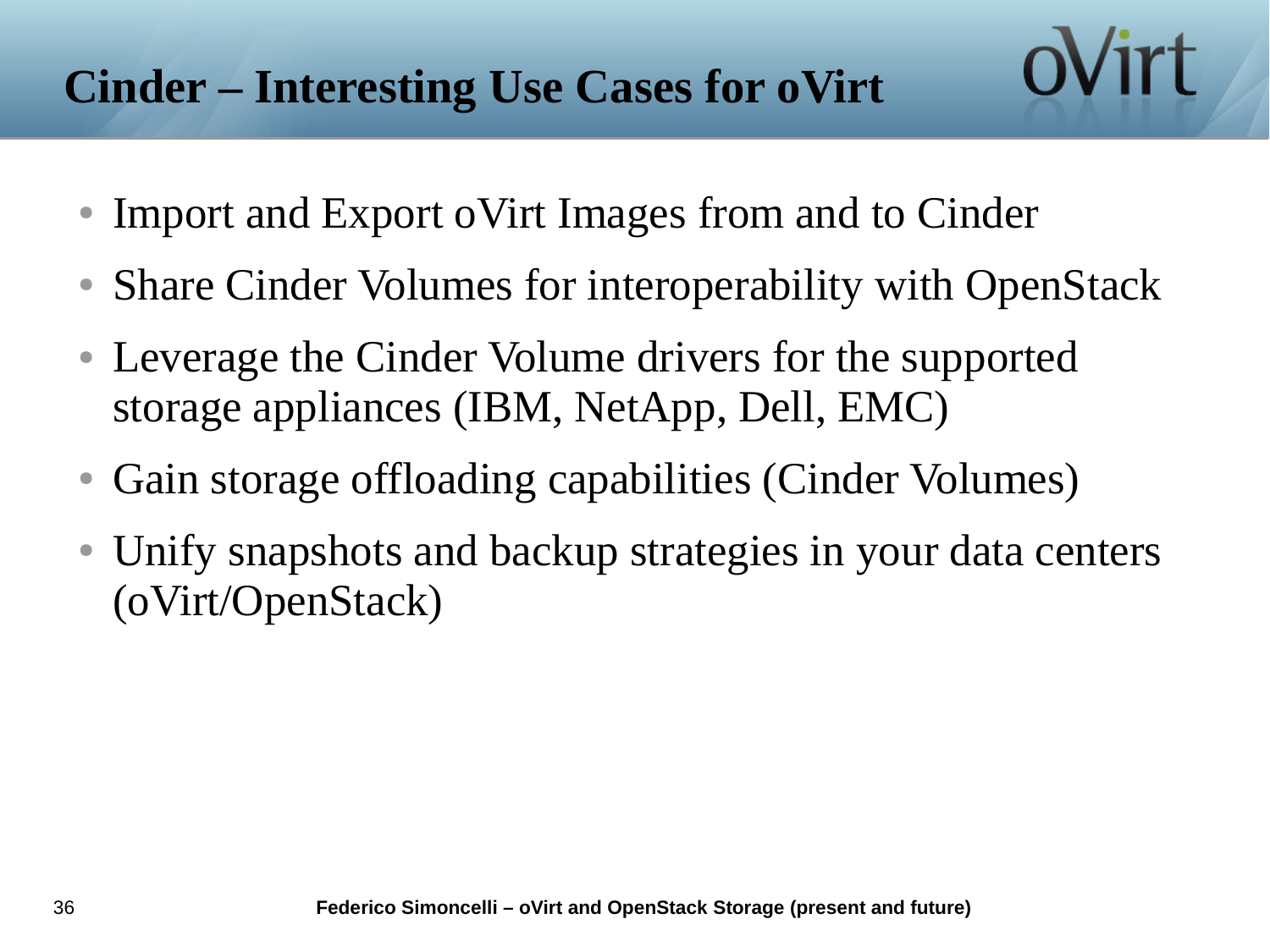# **Cinder – Interesting Use Cases for oVirt**

- Import and Export oVirt Images from and to Cinder
- Share Cinder Volumes for interoperability with OpenStack
- Leverage the Cinder Volume drivers for the supported storage appliances (IBM, NetApp, Dell, EMC)
- Gain storage offloading capabilities (Cinder Volumes)
- Unify snapshots and backup strategies in your data centers (oVirt/OpenStack)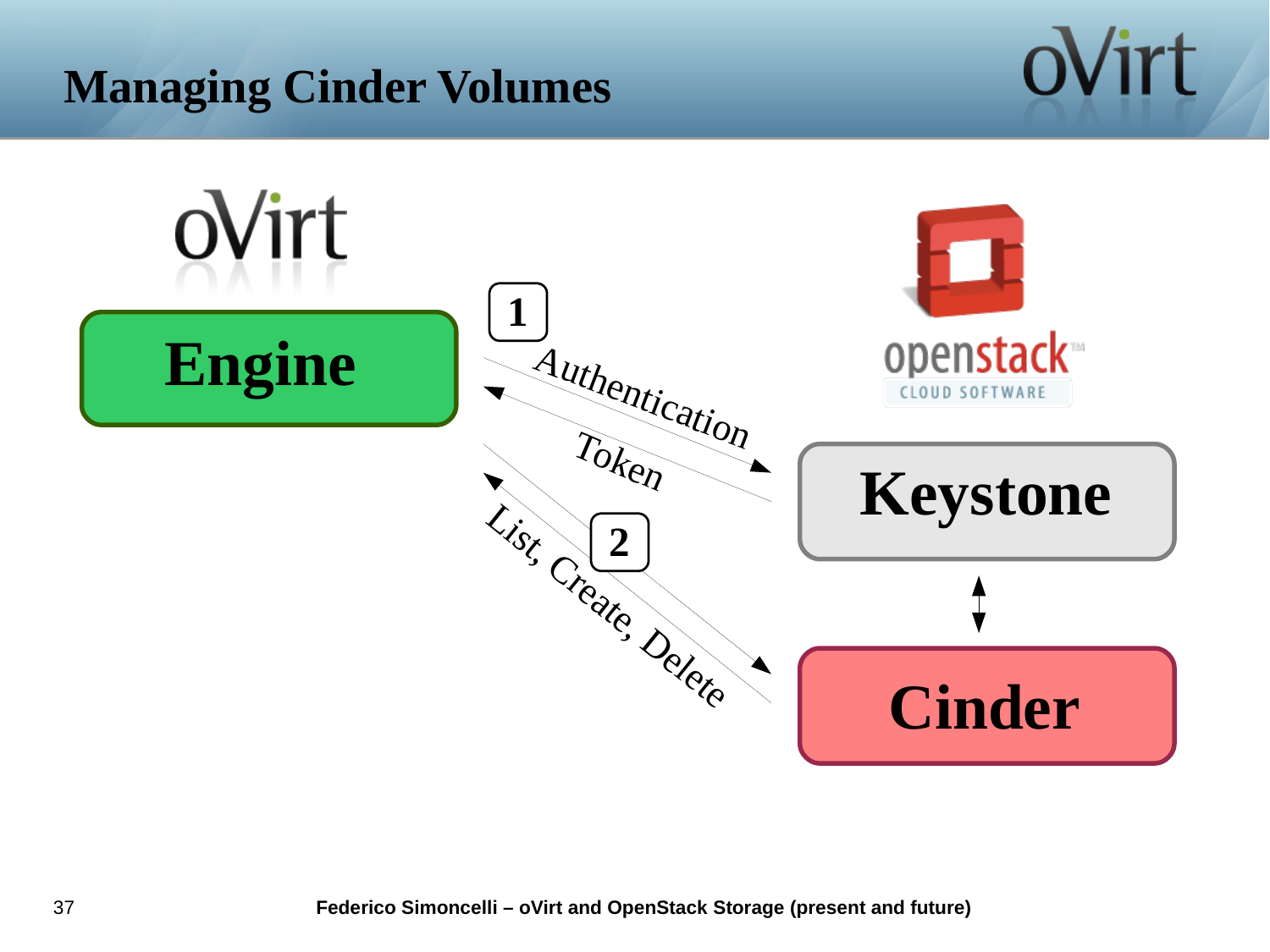#### **Managing Cinder Volumes**



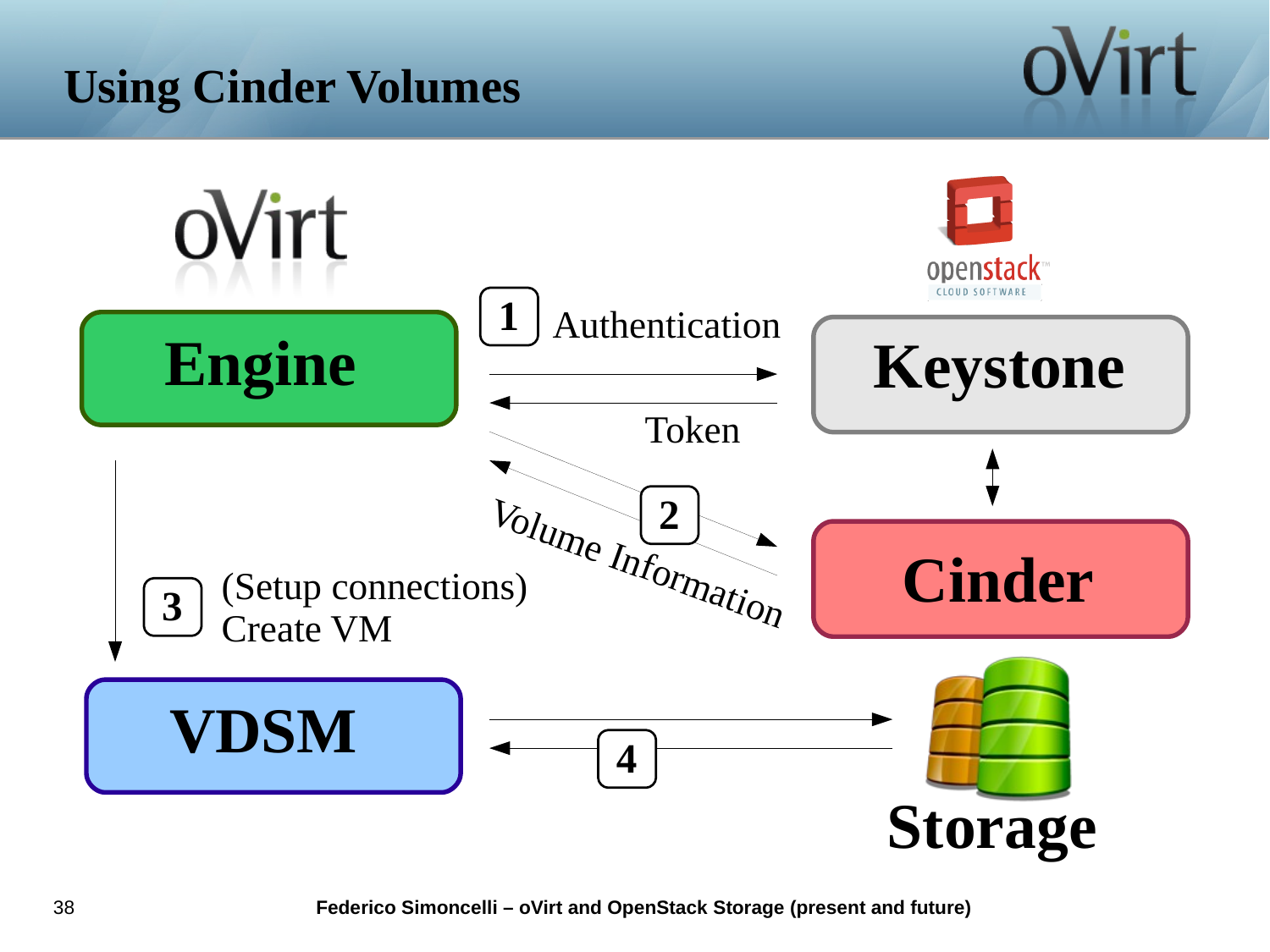# **Using Cinder Volumes**

ovirt